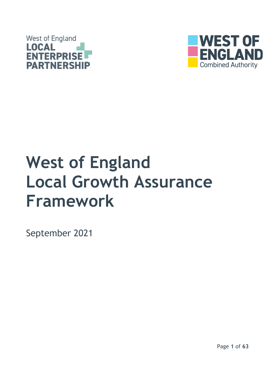



# **West of England Local Growth Assurance Framework**

September 2021

Page **1** of **63**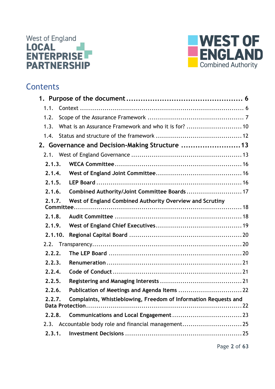



## **Contents**

| 1.1.    |                                                                 |  |
|---------|-----------------------------------------------------------------|--|
| 1.2.    |                                                                 |  |
| 1.3.    | What is an Assurance Framework and who it is for?  10           |  |
| 1.4.    |                                                                 |  |
|         | 2. Governance and Decision-Making Structure  13                 |  |
|         |                                                                 |  |
| 2.1.3.  |                                                                 |  |
| 2.1.4.  |                                                                 |  |
| 2.1.5.  |                                                                 |  |
| 2.1.6.  | Combined Authority/Joint Committee Boards  17                   |  |
| 2.1.7.  | West of England Combined Authority Overview and Scrutiny        |  |
|         |                                                                 |  |
| 2.1.8.  |                                                                 |  |
| 2.1.9.  |                                                                 |  |
| 2.1.10. |                                                                 |  |
| 2.2.    |                                                                 |  |
| 2.2.2.  |                                                                 |  |
| 2.2.3.  |                                                                 |  |
| 2.2.4.  |                                                                 |  |
| 2.2.5.  |                                                                 |  |
| 2.2.6.  | Publication of Meetings and Agenda Items  22                    |  |
| 2.2.7.  | Complaints, Whistleblowing, Freedom of Information Requests and |  |
| 2.2.8.  |                                                                 |  |
| 2.3.    |                                                                 |  |
| 2.3.1.  |                                                                 |  |
|         |                                                                 |  |

Page **2** of **63**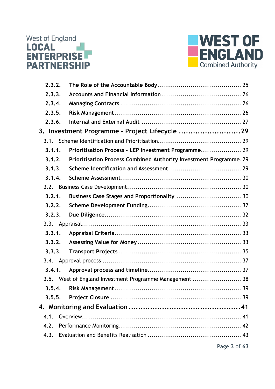



| 2.3.2. |                                                                    |  |
|--------|--------------------------------------------------------------------|--|
| 2.3.3. |                                                                    |  |
| 2.3.4. |                                                                    |  |
| 2.3.5. |                                                                    |  |
| 2.3.6. |                                                                    |  |
|        | 3. Investment Programme - Project Lifecycle 29                     |  |
| 3.1.   |                                                                    |  |
| 3.1.1. | Prioritisation Process - LEP Investment Programme 29               |  |
| 3.1.2. | Prioritisation Process Combined Authority Investment Programme. 29 |  |
| 3.1.3. |                                                                    |  |
| 3.1.4. |                                                                    |  |
|        |                                                                    |  |
| 3.2.1. |                                                                    |  |
| 3.2.2. |                                                                    |  |
| 3.2.3. |                                                                    |  |
|        |                                                                    |  |
| 3.3.1. |                                                                    |  |
| 3.3.2. |                                                                    |  |
| 3.3.3. |                                                                    |  |
|        |                                                                    |  |
| 3.4.1. |                                                                    |  |
|        | 3.5. West of England Investment Programme Management 38            |  |
|        |                                                                    |  |
| 3.5.5. |                                                                    |  |
|        |                                                                    |  |
| 4.1.   |                                                                    |  |
| 4.2.   |                                                                    |  |
| 4.3.   |                                                                    |  |
|        |                                                                    |  |

Page **3** of **63**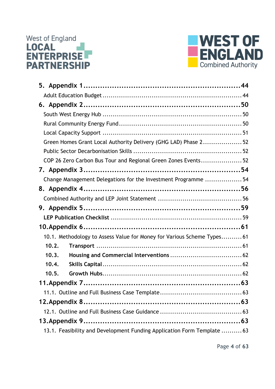# West of England<br> **LOCAL**<br> **ENTERPRISE PARTNERSHIP**



| Green Homes Grant Local Authority Delivery (GHG LAD) Phase 252          |  |
|-------------------------------------------------------------------------|--|
|                                                                         |  |
| COP 26 Zero Carbon Bus Tour and Regional Green Zones Events52           |  |
|                                                                         |  |
| Change Management Delegations for the Investment Programme  54          |  |
|                                                                         |  |
|                                                                         |  |
|                                                                         |  |
|                                                                         |  |
|                                                                         |  |
| 10.1. Methodology to Assess Value for Money for Various Scheme Types 61 |  |
| 10.2.                                                                   |  |
| 10.3.                                                                   |  |
| 10.4.                                                                   |  |
| 10.5.                                                                   |  |
|                                                                         |  |
|                                                                         |  |
|                                                                         |  |
|                                                                         |  |
|                                                                         |  |
| 13.1. Feasibility and Development Funding Application Form Template  63 |  |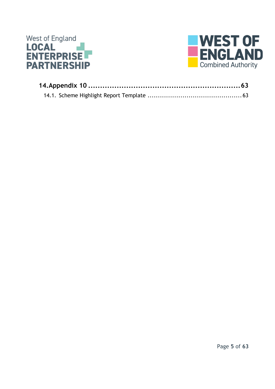

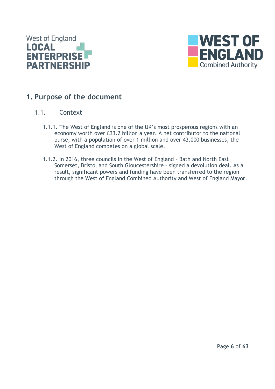



## <span id="page-5-0"></span>**1. Purpose of the document**

### <span id="page-5-1"></span>1.1. Context

- 1.1.1. The West of England is one of the UK's most prosperous regions with an economy worth over £33.2 billion a year. A net contributor to the national purse, with a population of over 1 million and over 43,000 businesses, the West of England competes on a global scale.
- 1.1.2. In 2016, three councils in the West of England Bath and North East Somerset, Bristol and South Gloucestershire – signed a devolution deal. As a result, significant powers and funding have been transferred to the region through the West of England Combined Authority and West of England Mayor.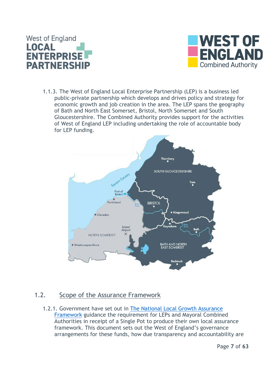



1.1.3. The West of England Local Enterprise Partnership (LEP) is a business led public-private partnership which develops and drives policy and strategy for economic growth and job creation in the area. The LEP spans the geography of Bath and North East Somerset, Bristol, North Somerset and South Gloucestershire. The Combined Authority provides support for the activities of West of England LEP including undertaking the role of accountable body for LEP funding.



#### <span id="page-6-0"></span>1.2. Scope of the Assurance Framework

1.2.1. Government have set out in [The National Local Growth Assurance](https://assets.publishing.service.gov.uk/government/uploads/system/uploads/attachment_data/file/768356/National_Local_Growth_Assurance_Framework.pdf)  [Framework](https://assets.publishing.service.gov.uk/government/uploads/system/uploads/attachment_data/file/768356/National_Local_Growth_Assurance_Framework.pdf) guidance the requirement for LEPs and Mayoral Combined Authorities in receipt of a Single Pot to produce their own local assurance framework. This document sets out the West of England's governance arrangements for these funds, how due transparency and accountability are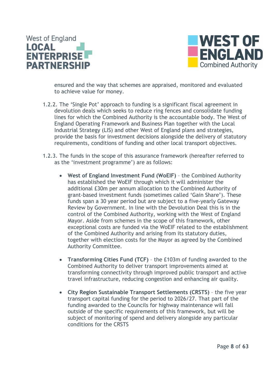



ensured and the way that schemes are appraised, monitored and evaluated to achieve value for money.

- 1.2.2. The 'Single Pot' approach to funding is a significant fiscal agreement in devolution deals which seeks to reduce ring fences and consolidate funding lines for which the Combined Authority is the accountable body. The West of England Operating Framework and Business Plan together with the Local Industrial Strategy (LIS) and other West of England plans and strategies, provide the basis for investment decisions alongside the delivery of statutory requirements, conditions of funding and other local transport objectives.
- 1.2.3. The funds in the scope of this assurance framework (hereafter referred to as the 'investment programme') are as follows:
	- **West of England Investment Fund (WoEIF)**  the Combined Authority has established the WoEIF through which it will administer the additional £30m per annum allocation to the Combined Authority of grant-based investment funds (sometimes called 'Gain Share'). These funds span a 30 year period but are subject to a five-yearly Gateway Review by Government. In line with the Devolution Deal this is in the control of the Combined Authority, working with the West of England Mayor. Aside from schemes in the scope of this framework, other exceptional costs are funded via the WoEIF related to the establishment of the Combined Authority and arising from its statutory duties, together with election costs for the Mayor as agreed by the Combined Authority Committee.
	- **Transforming Cities Fund (TCF)** the £103m of funding awarded to the Combined Authority to deliver transport improvements aimed at transforming connectivity through improved public transport and active travel infrastructure, reducing congestion and enhancing air quality.
	- **City Region Sustainable Transport Settlements (CRSTS)** the five year transport capital funding for the period to 2026/27. That part of the funding awarded to the Councils for highway maintenance will fall outside of the specific requirements of this framework, but will be subject of monitoring of spend and delivery alongside any particular conditions for the CRSTS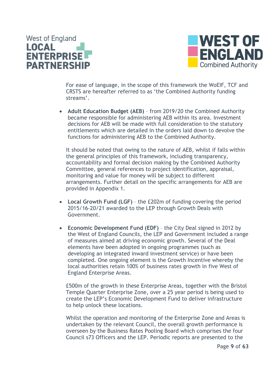



For ease of language, in the scope of this framework the WoEIF, TCF and CRSTS are hereafter referred to as 'the Combined Authority funding streams'.

• **Adult Education Budget (AEB)** – from 2019/20 the Combined Authority became responsible for administering AEB within its area. Investment decisions for AEB will be made with full consideration to the statutory entitlements which are detailed in the orders laid down to devolve the functions for administering AEB to the Combined Authority.

It should be noted that owing to the nature of AEB, whilst if falls within the general principles of this framework, including transparency, accountability and formal decision making by the Combined Authority Committee, general references to project identification, appraisal, monitoring and value for money will be subject to different arrangements. Further detail on the specific arrangements for AEB are provided in Appendix 1.

- **Local Growth Fund (LGF)** the £202m of funding covering the period 2015/16-20/21 awarded to the LEP through Growth Deals with Government.
- **Economic Development Fund (EDF)** the City Deal signed in 2012 by the West of England Councils, the LEP and Government included a range of measures aimed at driving economic growth. Several of the Deal elements have been adopted in ongoing programmes (such as developing an integrated inward investment service) or have been completed. One ongoing element is the Growth Incentive whereby the local authorities retain 100% of business rates growth in five West of England Enterprise Areas.

£500m of the growth in these Enterprise Areas, together with the Bristol Temple Quarter Enterprise Zone, over a 25 year period is being used to create the LEP's Economic Development Fund to deliver infrastructure to help unlock these locations.

Whilst the operation and monitoring of the Enterprise Zone and Areas is undertaken by the relevant Council, the overall growth performance is overseen by the Business Rates Pooling Board which comprises the four Council s73 Officers and the LEP. Periodic reports are presented to the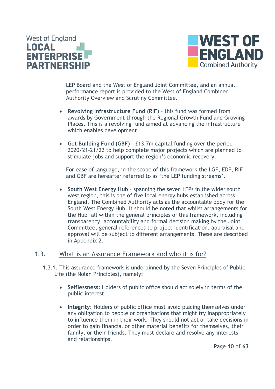



LEP Board and the West of England Joint Committee, and an annual performance report is provided to the West of England Combined Authority Overview and Scrutiny Committee.

- **Revolving Infrastructure Fund (RIF)** this fund was formed from awards by Government through the Regional Growth Fund and Growing Places. This is a revolving fund aimed at advancing the infrastructure which enables development.
- **Get Building Fund (GBF)** £13.7m capital funding over the period 2020/21-21/22 to help complete major projects which are planned to stimulate jobs and support the region's economic recovery.

For ease of language, in the scope of this framework the LGF, EDF, RIF and GBF are hereafter referred to as 'the LEP funding streams'.

• **South West Energy Hub** – spanning the seven LEPs in the wider south west region, this is one of five local energy hubs established across England. The Combined Authority acts as the accountable body for the South West Energy Hub. It should be noted that whilst arrangements for the Hub fall within the general principles of this framework, including transparency, accountability and formal decision making by the Joint Committee, general references to project identification, appraisal and approval will be subject to different arrangements. These are described in Appendix 2.

#### <span id="page-9-0"></span>1.3. What is an Assurance Framework and who it is for?

- 1.3.1. This assurance framework is underpinned by the Seven Principles of Public Life (the Nolan Principles), namely:
	- **Selflessness:** Holders of public office should act solely in terms of the public interest.
	- **Integrity**: Holders of public office must avoid placing themselves under any obligation to people or organisations that might try inappropriately to influence them in their work. They should not act or take decisions in order to gain financial or other material benefits for themselves, their family, or their friends. They must declare and resolve any interests and relationships.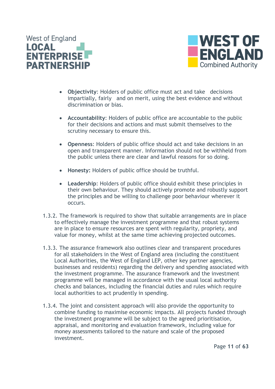



- **Objectivity**: Holders of public office must act and take decisions impartially, fairly and on merit, using the best evidence and without discrimination or bias.
- **Accountability**: Holders of public office are accountable to the public for their decisions and actions and must submit themselves to the scrutiny necessary to ensure this.
- **Openness**: Holders of public office should act and take decisions in an open and transparent manner. Information should not be withheld from the public unless there are clear and lawful reasons for so doing.
- **Honesty:** Holders of public office should be truthful.
- **Leadership**: Holders of public office should exhibit these principles in their own behaviour. They should actively promote and robustly support the principles and be willing to challenge poor behaviour wherever it occurs.
- 1.3.2. The framework is required to show that suitable arrangements are in place to effectively manage the investment programme and that robust systems are in place to ensure resources are spent with regularity, propriety, and value for money, whilst at the same time achieving projected outcomes.
- 1.3.3. The assurance framework also outlines clear and transparent procedures for all stakeholders in the West of England area (including the constituent Local Authorities, the West of England LEP, other key partner agencies, businesses and residents) regarding the delivery and spending associated with the investment programme. The assurance framework and the investment programme will be managed in accordance with the usual local authority checks and balances, including the financial duties and rules which require local authorities to act prudently in spending.
- 1.3.4. The joint and consistent approach will also provide the opportunity to combine funding to maximise economic impacts. All projects funded through the investment programme will be subject to the agreed prioritisation, appraisal, and monitoring and evaluation framework, including value for money assessments tailored to the nature and scale of the proposed investment.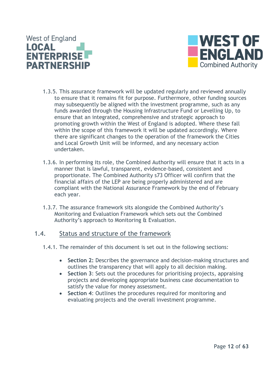



- 1.3.5. This assurance framework will be updated regularly and reviewed annually to ensure that it remains fit for purpose. Furthermore, other funding sources may subsequently be aligned with the investment programme, such as any funds awarded through the Housing Infrastructure Fund or Levelling Up, to ensure that an integrated, comprehensive and strategic approach to promoting growth within the West of England is adopted. Where these fall within the scope of this framework it will be updated accordingly. Where there are significant changes to the operation of the framework the Cities and Local Growth Unit will be informed, and any necessary action undertaken.
- 1.3.6. In performing its role, the Combined Authority will ensure that it acts in a manner that is lawful, transparent, evidence-based, consistent and proportionate. The Combined Authority s73 Officer will confirm that the financial affairs of the LEP are being properly administered and are compliant with the National Assurance Framework by the end of February each year.
- 1.3.7. The assurance framework sits alongside the Combined Authority's Monitoring and Evaluation Framework which sets out the Combined Authority's approach to Monitoring & Evaluation.

#### <span id="page-11-0"></span>1.4. Status and structure of the framework

- 1.4.1. The remainder of this document is set out in the following sections:
	- **Section 2:** Describes the governance and decision-making structures and outlines the transparency that will apply to all decision making.
	- **Section 3**: Sets out the procedures for prioritising projects, appraising projects and developing appropriate business case documentation to satisfy the value for money assessment.
	- **Section 4**: Outlines the procedures required for monitoring and evaluating projects and the overall investment programme.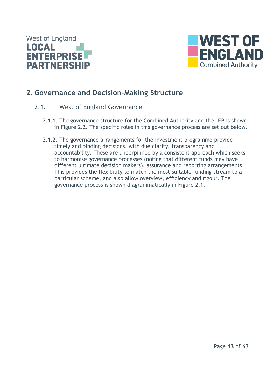



## <span id="page-12-0"></span>**2. Governance and Decision-Making Structure**

#### <span id="page-12-1"></span>2.1. West of England Governance

- 2.1.1. The governance structure for the Combined Authority and the LEP is shown in Figure 2.2. The specific roles in this governance process are set out below.
- 2.1.2. The governance arrangements for the investment programme provide timely and binding decisions, with due clarity, transparency and accountability. These are underpinned by a consistent approach which seeks to harmonise governance processes (noting that different funds may have different ultimate decision makers), assurance and reporting arrangements. This provides the flexibility to match the most suitable funding stream to a particular scheme, and also allow overview, efficiency and rigour. The governance process is shown diagrammatically in Figure 2.1.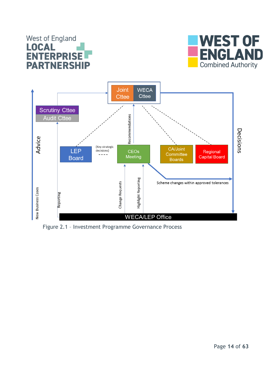## **West of England LOCAL ENTERPRIS PARTNERSHIP**





Figure 2.1 – Investment Programme Governance Process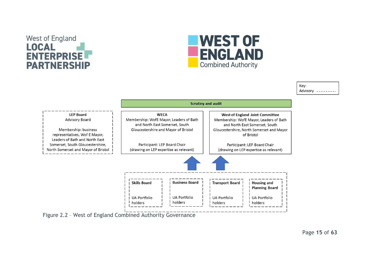## **West of England** LOCAL PRISE **PARTNERSHIP**



Kev: Advisory --------



Figure 2.2 – West of England Combined Authority Governance

Page **15** of **63**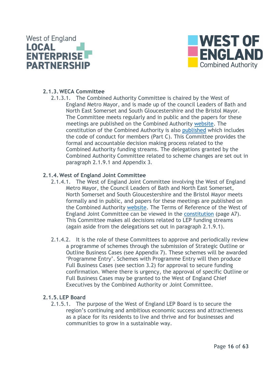



#### <span id="page-15-0"></span>**2.1.3.WECA Committee**

2.1.3.1. The Combined Authority Committee is chaired by the West of England Metro Mayor, and is made up of the council Leaders of Bath and North East Somerset and South Gloucestershire and the Bristol Mayor. The Committee meets regularly and in public and the papers for these meetings are published on the Combined Authority [website.](https://westofengland-ca.moderngov.co.uk/ieListMeetings.aspx?CId=141&Year=0) The constitution of the Combined Authority is also [published](https://westofengland-ca.moderngov.co.uk/ecSDDisplay.aspx?NAME=SD252&ID=252&RPID=677632) which includes the code of conduct for members (Part C). This Committee provides the formal and accountable decision making process related to the Combined Authority funding streams. The delegations granted by the Combined Authority Committee related to scheme changes are set out in paragraph 2.1.9.1 and Appendix 3.

#### <span id="page-15-1"></span>**2.1.4.West of England Joint Committee**

- 2.1.4.1. The West of England Joint Committee involving the West of England Metro Mayor, the Council Leaders of Bath and North East Somerset, North Somerset and South Gloucestershire and the Bristol Mayor meets formally and in public, and papers for these meetings are published on the Combined Authority [website.](https://westofengland-ca.moderngov.co.uk/ieListMeetings.aspx?CId=142&Year=0) The Terms of Reference of the West of England Joint Committee can be viewed in the [constitution](https://westofengland-ca.moderngov.co.uk/ecSDDisplay.aspx?NAME=SD252&ID=252&RPID=677632) (page A7). This Committee makes all decisions related to LEP funding streams (again aside from the delegations set out in paragraph 2.1.9.1).
- 2.1.4.2. It is the role of these Committees to approve and periodically review a programme of schemes through the submission of Strategic Outline or Outline Business Cases (see Appendix 7). These schemes will be awarded 'Programme Entry'. Schemes with Programme Entry will then produce Full Business Cases (see section 3.2) for approval to secure funding confirmation. Where there is urgency, the approval of specific Outline or Full Business Cases may be granted to the West of England Chief Executives by the Combined Authority or Joint Committee.

#### <span id="page-15-2"></span>**2.1.5.LEP Board**

2.1.5.1. The purpose of the West of England LEP Board is to secure the region's continuing and ambitious economic success and attractiveness as a place for its residents to live and thrive and for businesses and communities to grow in a sustainable way.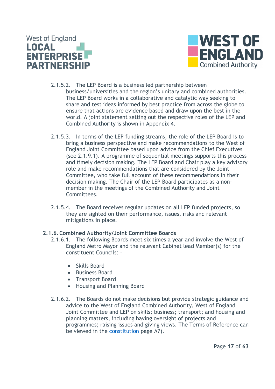



- 2.1.5.2. The LEP Board is a business led partnership between business/universities and the region's unitary and combined authorities. The LEP Board works in a collaborative and catalytic way seeking to share and test ideas informed by best practice from across the globe to ensure that actions are evidence based and draw upon the best in the world. A joint statement setting out the respective roles of the LEP and Combined Authority is shown in Appendix 4.
- 2.1.5.3. In terms of the LEP funding streams, the role of the LEP Board is to bring a business perspective and make recommendations to the West of England Joint Committee based upon advice from the Chief Executives (see 2.1.9.1). A programme of sequential meetings supports this process and timely decision making. The LEP Board and Chair play a key advisory role and make recommendations that are considered by the Joint Committee, who take full account of these recommendations in their decision making. The Chair of the LEP Board participates as a nonmember in the meetings of the Combined Authority and Joint Committees.
- 2.1.5.4. The Board receives regular updates on all LEP funded projects, so they are sighted on their performance, issues, risks and relevant mitigations in place.

#### <span id="page-16-0"></span>**2.1.6.Combined Authority/Joint Committee Boards**

- 2.1.6.1. The following Boards meet six times a year and involve the West of England Metro Mayor and the relevant Cabinet lead Member(s) for the constituent Councils: –
	- Skills Board
	- Business Board
	- Transport Board
	- Housing and Planning Board
- 2.1.6.2. The Boards do not make decisions but provide strategic guidance and advice to the West of England Combined Authority, West of England Joint Committee and LEP on skills; business; transport; and housing and planning matters, including having oversight of projects and programmes; raising issues and giving views. The Terms of Reference can be viewed in the [constitution](https://westofengland-ca.moderngov.co.uk/ecSDDisplay.aspx?NAME=SD252&ID=252&RPID=677632) page A7).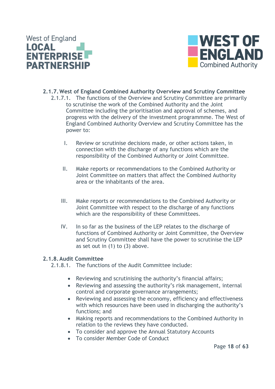



- <span id="page-17-0"></span>**2.1.7.West of England Combined Authority Overview and Scrutiny Committee** 2.1.7.1. The functions of the Overview and Scrutiny Committee are primarily to scrutinise the work of the Combined Authority and the Joint Committee including the prioritisation and approval of schemes, and progress with the delivery of the investment programmme. The West of England Combined Authority Overview and Scrutiny Committee has the power to:
	- I. Review or scrutinise decisions made, or other actions taken, in connection with the discharge of any functions which are the responsibility of the Combined Authority or Joint Committee.
	- II. Make reports or recommendations to the Combined Authority or Joint Committee on matters that affect the Combined Authority area or the inhabitants of the area.
	- III. Make reports or recommendations to the Combined Authority or Joint Committee with respect to the discharge of any functions which are the responsibility of these Committees.
	- IV. In so far as the business of the LEP relates to the discharge of functions of Combined Authority or Joint Committee, the Overview and Scrutiny Committee shall have the power to scrutinise the LEP as set out in  $(1)$  to  $(3)$  above.

#### <span id="page-17-1"></span>**2.1.8.Audit Committee**

- 2.1.8.1. The functions of the Audit Committee include:
	- Reviewing and scrutinising the authority's financial affairs;
	- Reviewing and assessing the authority's risk management, internal control and corporate governance arrangements;
	- Reviewing and assessing the economy, efficiency and effectiveness with which resources have been used in discharging the authority's functions; and
	- Making reports and recommendations to the Combined Authority in relation to the reviews they have conducted.
	- To consider and approve the Annual Statutory Accounts
	- To consider Member Code of Conduct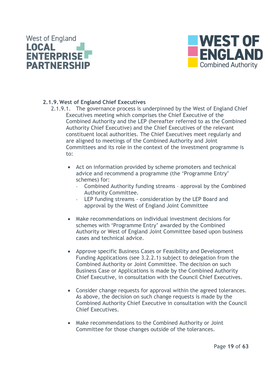



#### <span id="page-18-0"></span>**2.1.9.West of England Chief Executives**

- 2.1.9.1. The governance process is underpinned by the West of England Chief Executives meeting which comprises the Chief Executive of the Combined Authority and the LEP (hereafter referred to as the Combined Authority Chief Executive) and the Chief Executives of the relevant constituent local authorities. The Chief Executives meet regularly and are aligned to meetings of the Combined Authority and Joint Committees and its role in the context of the investment programme is to:
	- Act on information provided by scheme promoters and technical advice and recommend a programme (the 'Programme Entry' schemes) for:
		- Combined Authority funding streams approval by the Combined Authority Committee.
		- LEP funding streams consideration by the LEP Board and approval by the West of England Joint Committee
	- Make recommendations on individual investment decisions for schemes with 'Programme Entry' awarded by the Combined Authority or West of England Joint Committee based upon business cases and technical advice.
	- Approve specific Business Cases or Feasibility and Development Funding Applications (see 3.2.2.1) subject to delegation from the Combined Authority or Joint Committee. The decision on such Business Case or Applications is made by the Combined Authority Chief Executive, in consultation with the Council Chief Executives.
	- Consider change requests for approval within the agreed tolerances. As above, the decision on such change requests is made by the Combined Authority Chief Executive in consultation with the Council Chief Executives.
	- Make recommendations to the Combined Authority or Joint Committee for those changes outside of the tolerances.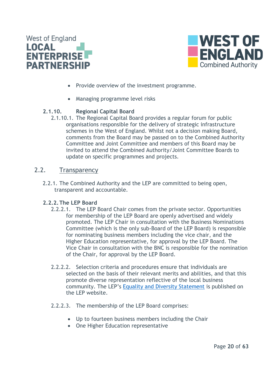



- Provide overview of the investment programme.
- Managing programme level risks

#### <span id="page-19-0"></span>**2.1.10. Regional Capital Board**

2.1.10.1. The Regional Capital Board provides a regular forum for public organisations responsible for the delivery of strategic infrastructure schemes in the West of England. Whilst not a decision making Board, comments from the Board may be passed on to the Combined Authority Committee and Joint Committee and members of this Board may be invited to attend the Combined Authority/Joint Committee Boards to update on specific programmes and projects.

#### <span id="page-19-1"></span>2.2. Transparency

2.2.1. The Combined Authority and the LEP are committed to being open, transparent and accountable.

#### <span id="page-19-2"></span>**2.2.2.The LEP Board**

- 2.2.2.1. The LEP Board Chair comes from the private sector. Opportunities for membership of the LEP Board are openly advertised and widely promoted. The LEP Chair in consultation with the Business Nominations Committee (which is the only sub-Board of the LEP Board) is responsible for nominating business members including the vice chair, and the Higher Education representative, for approval by the LEP Board. The Vice Chair in consultation with the BNC is responsible for the nomination of the Chair, for approval by the LEP Board.
- 2.2.2.2. Selection criteria and procedures ensure that individuals are selected on the basis of their relevant merits and abilities, and that this promote diverse representation reflective of the local business community. The LEP's [Equality and Diversity Statement](https://www.westofengland-ca.gov.uk/wp-content/uploads/2019/02/WE-LEP-Diversity-Statement.pdf) is published on the LEP website.
- 2.2.2.3. The membership of the LEP Board comprises:
	- Up to fourteen business members including the Chair
	- One Higher Education representative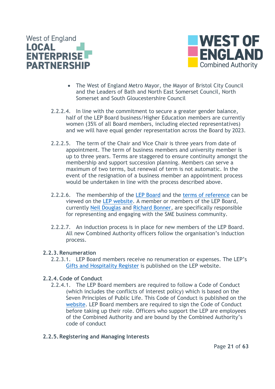



- The West of England Metro Mayor, the Mayor of Bristol City Council and the Leaders of Bath and North East Somerset Council, North Somerset and South Gloucestershire Council
- 2.2.2.4. In line with the commitment to secure a greater gender balance, half of the LEP Board business/Higher Education members are currently women (35% of all Board members, including elected representatives) and we will have equal gender representation across the Board by 2023.
- 2.2.2.5. The term of the Chair and Vice Chair is three years from date of appointment. The term of business members and university member is up to three years. Terms are staggered to ensure continuity amongst the membership and support succession planning. Members can serve a maximum of two terms, but renewal of term is not automatic. In the event of the resignation of a business member an appointment process would be undertaken in line with the process described above.
- 2.2.2.6. The membership of the [LEP Board](https://www.westofengland-ca.gov.uk/lep/lep-board) and the [terms of reference](https://www.westofengland-ca.gov.uk/wp-content/uploads/2019/02/LEP-ToR-updated-Oct-2018.pdf) can be viewed on the [LEP website.](https://www.westofengland-ca.gov.uk/lep/lep-board/) A member or members of the LEP Board, currently [Neil Douglas](https://www.westofengland-ca.gov.uk/lep/lep-board/neil-douglas/) and [Richard Bonner,](https://www.westofengland-ca.gov.uk/lep/lep-board/richard-bonner/) are specifically responsible for representing and engaging with the SME business community.
- 2.2.2.7. An induction process is in place for new members of the LEP Board. All new Combined Authority officers follow the organisation's induction process.

#### <span id="page-20-0"></span>**2.2.3.Renumeration**

2.2.3.1. LEP Board members receive no renumeration or expenses. The LEP's Gifts and [Hospitality Register](https://www.westofengland-ca.gov.uk/lep/lep-board/lep-board-documents/) is published on the LEP website.

#### <span id="page-20-1"></span>**2.2.4.Code of Conduct**

2.2.4.1. The LEP Board members are required to follow a Code of Conduct (which includes the conflicts of interest policy) which is based on the Seven Principles of Public Life. This Code of Conduct is published on the [website.](https://www.westofengland-ca.gov.uk/wp-content/uploads/2019/02/Code-of-Conduct-for-LEP-Board-Members-2018.pdf) LEP Board members are required to sign the Code of Conduct before taking up their role. Officers who support the LEP are employees of the Combined Authority and are bound by the Combined Authority's code of conduct

#### <span id="page-20-2"></span>**2.2.5.Registering and Managing Interests**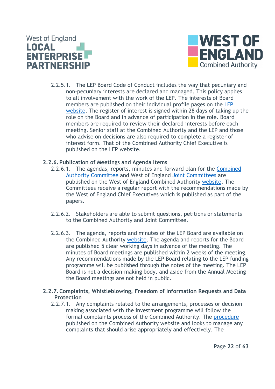



2.2.5.1. The LEP Board Code of Conduct includes the way that pecuniary and non-pecuniary interests are declared and managed. This policy applies to all involvement with the work of the LEP. The interests of Board members are published on their individual profile pages on the [LEP](https://www.westofengland-ca.gov.uk/lep/lep-board)  [website.](https://www.westofengland-ca.gov.uk/lep/lep-board) The register of interest is signed within 28 days of taking up the role on the Board and in advance of participation in the role. Board members are required to review their declared interests before each meeting. Senior staff at the Combined Authority and the LEP and those who advise on decisions are also required to complete a register of interest form. That of the Combined Authority Chief Executive is published on the LEP website.

#### <span id="page-21-0"></span>**2.2.6.Publication of Meetings and Agenda Items**

- 2.2.6.1. The agendas, reports, minutes and forward plan for the [Combined](https://westofengland-ca.moderngov.co.uk/ieListMeetings.aspx?CId=141&Year=0)  [Authority Committee](https://westofengland-ca.moderngov.co.uk/ieListMeetings.aspx?CId=141&Year=0) and West of England [Joint Committees](https://westofengland-ca.moderngov.co.uk/ieListMeetings.aspx?CId=142&Year=0) are published on the West of England Combined Authority [website.](https://westofengland-ca.moderngov.co.uk/ieDocHome.aspx?bcr=1) The Committees receive a regular report with the recommendations made by the West of England Chief Executives which is published as part of the papers.
- 2.2.6.2. Stakeholders are able to submit questions, petitions or statements to the Combined Authority and Joint Committee.
- 2.2.6.3. The agenda, reports and minutes of the LEP Board are available on the Combined Authority [website.](https://westofengland-ca.moderngov.co.uk/ieListMeetings.aspx?CId=135&Year=0) The agenda and reports for the Board are published 5 clear working days in advance of the meeting. The minutes of Board meetings are published within 2 weeks of the meeting. Any recommendations made by the LEP Board relating to the LEP funding programme will be published through the notes of the meeting. The LEP Board is not a decision-making body, and aside from the Annual Meeting the Board meetings are not held in public.
- <span id="page-21-1"></span>**2.2.7.Complaints, Whistleblowing, Freedom of Information Requests and Data Protection**
	- 2.2.7.1. Any complaints related to the arrangements, processes or decision making associated with the investment programme will follow the formal complaints process of the Combined Authority. The [procedure](https://www.westofengland-ca.gov.uk/wp-content/uploads/2019/02/West-of-England-Combined-Authority-Complaints-Procedure-February-2019.pdf) published on the Combined Authority website and looks to manage any complaints that should arise appropriately and effectively. The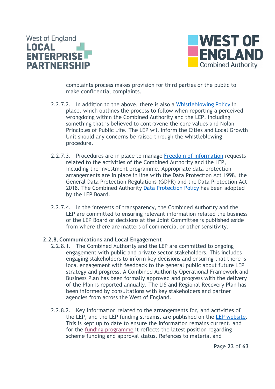



complaints process makes provision for third parties or the public to make confidential complaints.

- 2.2.7.2. In addition to the above, there is also a [Whistleblowing Policy](https://www.westofengland-ca.gov.uk/wp-content/uploads/2019/02/WECA-and-LEP-Whistleblowing-Policy.pdf) in place. which outlines the process to follow when reporting a perceived wrongdoing within the Combined Authority and the LEP, including something that is believed to contravene the core values and Nolan Principles of Public Life. The LEP will inform the Cities and Local Growth Unit should any concerns be raised through the whistleblowing procedure.
- 2.2.7.3. Procedures are in place to manage [Freedom of Information](https://www.westofengland-ca.gov.uk/contact-us/) requests related to the activities of the Combined Authority and the LEP, including the investment programme. Appropriate data protection arrangements are in place in line with the Data Protection Act 1998, the General Data Protection Regulations (GDPR) and the Data Protection Act 2018. The Combined Authority [Data Protection Policy](https://www.westofengland-ca.gov.uk/wp-content/uploads/2019/04/Data-Protection-Policy.pdf) has been adopted by the LEP Board.
- 2.2.7.4. In the interests of transparency, the Combined Authority and the LEP are committed to ensuring relevant information related the business of the LEP Board or decisions at the Joint Committee is published aside from where there are matters of commercial or other sensitivity.

#### <span id="page-22-0"></span>**2.2.8.Communications and Local Engagement**

- 2.2.8.1. The Combined Authority and the LEP are committed to ongoing engagement with public and private sector stakeholders. This includes engaging stakeholders to inform key decisions and ensuring that there is local engagement with feedback to the general public about future LEP strategy and progress. A Combined Authority Operational Framework and Business Plan has been formally approved and progress with the delivery of the Plan is reported annually. The LIS and Regional Recovery Plan has been informed by consultations with key stakeholders and partner agencies from across the West of England.
- 2.2.8.2. Key information related to the arrangements for, and activities of the LEP, and the LEP funding streams, are published on the [LEP website.](https://www.westofengland-ca.gov.uk/lep/lep-funding-and-projects/) This is kept up to date to ensure the information remains current, and for the [funding programme](https://www.westofengland-ca.gov.uk/wp-content/uploads/2022/06/Website-overall-scheme-info-June-22.pdf) it reflects the latest position regarding scheme funding and approval status. Refences to material and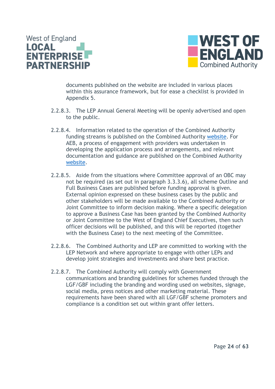



documents published on the website are included in various places within this assurance framework, but for ease a checklist is provided in Appendix 5.

- 2.2.8.3. The LEP Annual General Meeting will be openly advertised and open to the public.
- 2.2.8.4. Information related to the operation of the Combined Authority funding streams is published on the Combined Authority [website.](https://www.westofengland-ca.gov.uk/financial-information-2/) For AEB, a process of engagement with providers was undertaken in developing the application process and arrangements, and relevant documentation and guidance are published on the Combined Authority [website.](https://www.westofengland-ca.gov.uk/adult-education-budget/)
- 2.2.8.5. Aside from the situations where Committee approval of an OBC may not be required (as set out in paragraph 3.3.3.6), all scheme Outline and Full Business Cases are published before funding approval is given. External opinion expressed on these business cases by the public and other stakeholders will be made available to the Combined Authority or Joint Committee to inform decision making. Where a specific delegation to approve a Business Case has been granted by the Combined Authority or Joint Committee to the West of England Chief Executives, then such officer decisions will be published, and this will be reported (together with the Business Case) to the next meeting of the Committee.
- 2.2.8.6. The Combined Authority and LEP are committed to working with the LEP Network and where appropriate to engage with other LEPs and develop joint strategies and investments and share best practice.
- 2.2.8.7. The Combined Authority will comply with Government communications and branding guidelines for schemes funded through the LGF/GBF including the branding and wording used on websites, signage, social media, press notices and other marketing material. These requirements have been shared with all LGF/GBF scheme promoters and compliance is a condition set out within grant offer letters.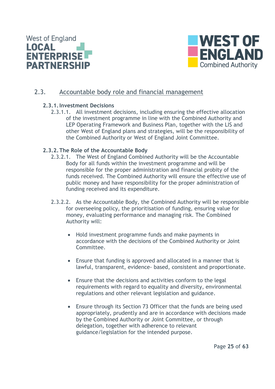



#### <span id="page-24-1"></span><span id="page-24-0"></span>2.3. Accountable body role and financial management

#### **2.3.1.Investment Decisions**

2.3.1.1. All investment decisions, including ensuring the effective allocation of the investment programme in line with the Combined Authority and LEP Operating Framework and Business Plan, together with the LIS and other West of England plans and strategies, will be the responsibility of the Combined Authority or West of England Joint Committee.

#### <span id="page-24-2"></span>**2.3.2.The Role of the Accountable Body**

- 2.3.2.1. The West of England Combined Authority will be the Accountable Body for all funds within the investment programme and will be responsible for the proper administration and financial probity of the funds received. The Combined Authority will ensure the effective use of public money and have responsibility for the proper administration of funding received and its expenditure.
- 2.3.2.2. As the Accountable Body, the Combined Authority will be responsible for overseeing policy, the prioritisation of funding, ensuring value for money, evaluating performance and managing risk. The Combined Authority will:
	- Hold investment programme funds and make payments in accordance with the decisions of the Combined Authority or Joint Committee.
	- Ensure that funding is approved and allocated in a manner that is lawful, transparent, evidence- based, consistent and proportionate.
	- Ensure that the decisions and activities conform to the legal requirements with regard to equality and diversity, environmental regulations and other relevant legislation and guidance.
	- Ensure through its Section 73 Officer that the funds are being used appropriately, prudently and are in accordance with decisions made by the Combined Authority or Joint Committee, or through delegation, together with adherence to relevant guidance/legislation for the intended purpose.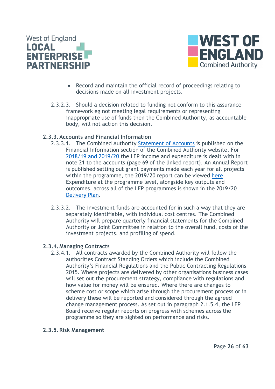



- Record and maintain the official record of proceedings relating to decisions made on all investment projects.
- 2.3.2.3. Should a decision related to funding not conform to this assurance framework eg not meeting legal requirements or representing inappropriate use of funds then the Combined Authority, as accountable body, will not action this decision.

#### <span id="page-25-0"></span>**2.3.3.Accounts and Financial Information**

- 2.3.3.1. The Combined Authority [Statement of Accounts](https://www.westofengland-ca.gov.uk/budget-information/) is published on the Financial Information section of the Combined Authority website. For [2018/19 and 2019/20](https://www.westofengland-ca.gov.uk/wp-content/uploads/2020/12/Final-WECA-Statement-of-Accounts-2019-20-with-typed-signatures.pdf) the LEP income and expenditure is dealt with in note 21 to the accounts (page 69 of the linked report). An Annual Report is published setting out grant payments made each year for all projects within the programme, the 2019/20 report can be viewed [here.](https://www.westofengland-ca.gov.uk/wp-content/uploads/2021/07/Annual-Report-2019_20-FINAL.pdf) Expenditure at the programme level, alongside key outputs and outcomes, across all of the LEP programmes is shown in the 2019/20 [Delivery Plan.](https://www.westofengland-ca.gov.uk/wp-content/uploads/2021/01/WE4809-LEP-Delivery-Plan-visuals_v3.pdf)
- 2.3.3.2. The investment funds are accounted for in such a way that they are separately identifiable, with individual cost centres. The Combined Authority will prepare quarterly financial statements for the Combined Authority or Joint Committee in relation to the overall fund, costs of the investment projects, and profiling of spend.

#### <span id="page-25-1"></span>**2.3.4.Managing Contracts**

2.3.4.1. All contracts awarded by the Combined Authority will follow the authorities Contract Standing Orders which include the Combined Authority's Financial Regulations and the Public Contracting Regulations 2015. Where projects are delivered by other organisations business cases will set out the procurement strategy, compliance with regulations and how value for money will be ensured. Where there are changes to scheme cost or scope which arise through the procurement process or in delivery these will be reported and considered through the agreed change management process. As set out in paragraph 2.1.5.4, the LEP Board receive regular reports on progress with schemes across the programme so they are sighted on performance and risks.

#### <span id="page-25-2"></span>**2.3.5.Risk Management**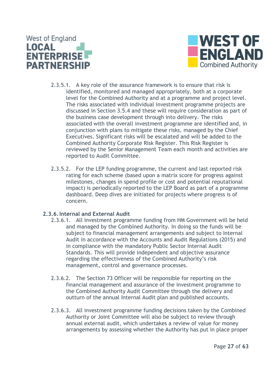



- 2.3.5.1. A key role of the assurance framework is to ensure that risk is identified, monitored and managed appropriately, both at a corporate level for the Combined Authority and at a programme and project level. The risks associated with individual investment programme projects are discussed in Section 3.5.4 and these will require consideration as part of the business case development through into delivery. The risks associated with the overall investment programme are identified and, in conjunction with plans to mitigate these risks, managed by the Chief Executives. Significant risks will be escalated and will be added to the Combined Authority Corporate Risk Register. This Risk Register is reviewed by the Senior Management Team each month and activities are reported to Audit Committee.
- 2.3.5.2. For the LEP funding programme, the current and last reported risk rating for each scheme (based upon a matrix score for progress against milestones, changes in spend profile or cost and potential reputational impact) is periodically reported to the LEP Board as part of a programme dashboard. Deep dives are initiated for projects where progress is of concern.

#### <span id="page-26-0"></span>**2.3.6.Internal and External Audit**

- 2.3.6.1. All investment programme funding from HM Government will be held and managed by the Combined Authority. In doing so the funds will be subject to financial management arrangements and subject to Internal Audit in accordance with the Accounts and Audit Regulations (2015) and in compliance with the mandatory Public Sector Internal Audit Standards. This will provide independent and objective assurance regarding the effectiveness of the Combined Authority's risk management, control and governance processes.
- 2.3.6.2. The Section 73 Officer will be responsible for reporting on the financial management and assurance of the investment programme to the Combined Authority Audit Committee through the delivery and outturn of the annual Internal Audit plan and published accounts.
- 2.3.6.3. All investment programme funding decisions taken by the Combined Authority or Joint Committee will also be subject to review through annual external audit, which undertakes a review of value for money arrangements by assessing whether the Authority has put in place proper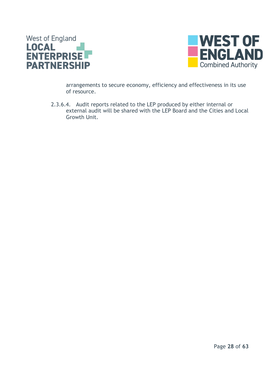



arrangements to secure economy, efficiency and effectiveness in its use of resource.

2.3.6.4. Audit reports related to the LEP produced by either internal or external audit will be shared with the LEP Board and the Cities and Local Growth Unit.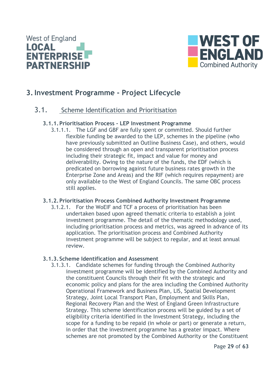



## <span id="page-28-0"></span>**3.Investment Programme - Project Lifecycle**

#### <span id="page-28-2"></span>3.1. Scheme Identification and Prioritisation

#### **3.1.1.Prioritisation Process - LEP Investment Programme**

<span id="page-28-1"></span>3.1.1.1. The LGF and GBF are fully spent or committed. Should further flexible funding be awarded to the LEP, schemes in the pipeline (who have previously submitted an Outline Business Case), and others, would be considered through an open and transparent prioritisation process including their strategic fit, impact and value for money and deliverability. Owing to the nature of the funds, the EDF (which is predicated on borrowing against future business rates growth in the Enterprise Zone and Areas) and the RIF (which requires repayment) are only available to the West of England Councils. The same OBC process still applies.

#### <span id="page-28-3"></span>**3.1.2.Prioritisation Process Combined Authority Investment Programme**

3.1.2.1. For the WoEIF and TCF a process of prioritisation has been undertaken based upon agreed thematic criteria to establish a joint investment programme. The detail of the thematic methodology used, including prioritisation process and metrics, was agreed in advance of its application. The prioritisation process and Combined Authority investment programme will be subject to regular, and at least annual review.

#### <span id="page-28-4"></span>**3.1.3. Scheme Identification and Assessment**

3.1.3.1. Candidate schemes for funding through the Combined Authority investment programme will be identified by the Combined Authority and the constituent Councils through their fit with the strategic and economic policy and plans for the area including the Combined Authority Operational Framework and Business Plan, LIS, Spatial Development Strategy, Joint Local Transport Plan, Employment and Skills Plan, Regional Recovery Plan and the West of England Green Infrastructure Strategy. This scheme identification process will be guided by a set of eligibility criteria identified in the Investment Strategy, including the scope for a funding to be repaid (in whole or part) or generate a return, in order that the investment programme has a greater impact. Where schemes are not promoted by the Combined Authority or the Constituent

Page **29** of **63**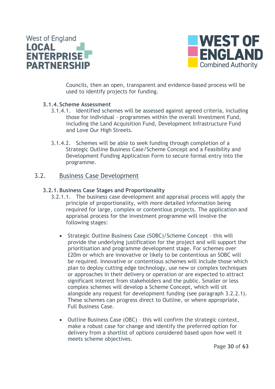



Councils, then an open, transparent and evidence-based process will be used to identify projects for funding.

#### <span id="page-29-0"></span>**3.1.4. Scheme Assessment**

- 3.1.4.1. Identified schemes will be assessed against agreed criteria, including those for individual - programmes within the overall Investment Fund, including the Land Acquisition Fund, Development Infrastructure Fund and Love Our High Streets.
- 3.1.4.2. Schemes will be able to seek funding through completion of a Strategic Outline Business Case/Scheme Concept and a Feasibility and Development Funding Application Form to secure formal entry into the programme.

#### <span id="page-29-2"></span><span id="page-29-1"></span>3.2. Business Case Development

#### **3.2.1.Business Case Stages and Proportionality**

- 3.2.1.1. The business case development and appraisal process will apply the principle of proportionality, with more detailed information being required for large, complex or contentious projects. The application and appraisal process for the investment programme will involve the following stages:
	- Strategic Outline Business Case (SOBC)/Scheme Concept this will provide the underlying justification for the project and will support the prioritisation and programme development stage. For schemes over £20m or which are innovative or likely to be contentious an SOBC will be required. Innovative or contentious schemes will include those which plan to deploy cutting edge technology, use new or complex techniques or approaches in their delivery or operation or are expected to attract significant interest from stakeholders and the public. Smaller or less complex schemes will develop a Scheme Concept, which will sit alongside any request for development funding (see paragraph 3.2.2.1). These schemes can progress direct to Outline, or where appropriate, Full Business Case.
	- Outline Business Case (OBC) this will confirm the strategic context, make a robust case for change and identify the preferred option for delivery from a shortlist of options considered based upon how well it meets scheme objectives.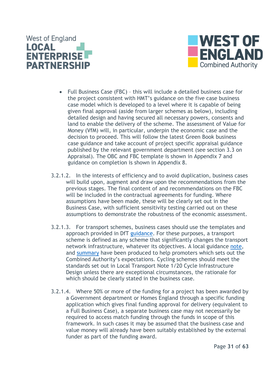



- Full Business Case (FBC) this will include a detailed business case for the project consistent with HMT's guidance on the five case business case model which is developed to a level where it is capable of being given final approval (aside from larger schemes as below), including detailed design and having secured all necessary powers, consents and land to enable the delivery of the scheme. The assessment of Value for Money (VfM) will, in particular, underpin the economic case and the decision to proceed. This will follow the latest Green Book business case guidance and take account of project specific appraisal guidance published by the relevant government department (see section 3.3 on Appraisal). The OBC and FBC template is shown in Appendix 7 and guidance on completion is shown in Appendix 8.
- 3.2.1.2. In the interests of efficiency and to avoid duplication, business cases will build upon, augment and draw upon the recommendations from the previous stages. The final content of and recommendations on the FBC will be included in the contractual agreements for funding. Where assumptions have been made, these will be clearly set out in the Business Case, with sufficient sensitivity testing carried out on these assumptions to demonstrate the robustness of the economic assessment.
- 3.2.1.3. For transport schemes, business cases should use the templates and approach provided in DfT [guidance.](https://www.gov.uk/government/publications/transport-business-case/transport-business-case-guidance) For these purposes, a transport scheme is defined as any scheme that significantly changes the transport network infrastructure, whatever its objectives. A local guidance [note,](https://www.westofengland-ca.gov.uk/wp-content/uploads/2020/05/WECA-transport-appraisal-advice-v2.0-30-04-20.pdf) and [summary](https://www.westofengland-ca.gov.uk/wp-content/uploads/2020/05/WECA-transport-appraisal-advice-summary-30-04-20.pdf) have been produced to help promoters which sets out the Combined Authority's expectations. Cycling schemes should meet the standards set out in Local Transport Note 1/20 Cycle Infrastructure Design unless there are exceptional circumstances, the rationale for which should be clearly stated in the business case.
- 3.2.1.4. Where 50% or more of the funding for a project has been awarded by a Government department or Homes England through a specific funding application which gives final funding approval for delivery (equivalent to a Full Business Case), a separate business case may not necessarily be required to access match funding through the funds in scope of this framework. In such cases it may be assumed that the business case and value money will already have been suitably established by the external funder as part of the funding award.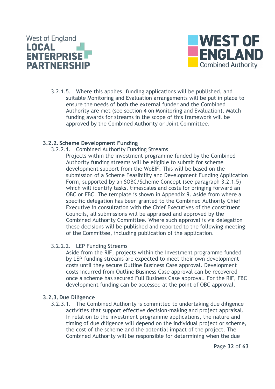



3.2.1.5. Where this applies, funding applications will be published, and suitable Monitoring and Evaluation arrangements will be put in place to ensure the needs of both the external funder and the Combined Authority are met (see section 4 on Monitoring and Evaluation). Match funding awards for streams in the scope of this framework will be approved by the Combined Authority or Joint Committee.

#### <span id="page-31-0"></span>**3.2.2. Scheme Development Funding**

3.2.2.1. Combined Authority Funding Streams

Projects within the investment programme funded by the Combined Authority funding streams will be eligible to submit for scheme development support from the WoEIF. This will be based on the submission of a Scheme Feasibility and Development Funding Application Form, supported by an SOBC/Scheme Concept (see paragraph 3.2.1.5) which will identify tasks, timescales and costs for bringing forward an OBC or FBC. The template is shown in Appendix 9. Aside from where a specific delegation has been granted to the Combined Authority Chief Executive in consultation with the Chief Executives of the constituent Councils, all submissions will be appraised and approved by the Combined Authority Committee. Where such approval is via delegation these decisions will be published and reported to the following meeting of the Committee, including publication of the application.

#### 3.2.2.2. LEP Funding Streams

Aside from the RIF, projects within the investment programme funded by LEP funding streams are expected to meet their own development costs until they secure Outline Business Case approval. Development costs incurred from Outline Business Case approval can be recovered once a scheme has secured Full Business Case approval. For the RIF, FBC development funding can be accessed at the point of OBC approval.

#### <span id="page-31-1"></span>**3.2.3.Due Diligence**

3.2.3.1. The Combined Authority is committed to undertaking due diligence activities that support effective decision-making and project appraisal. In relation to the investment programme applications, the nature and timing of due diligence will depend on the individual project or scheme, the cost of the scheme and the potential impact of the project. The Combined Authority will be responsible for determining when the due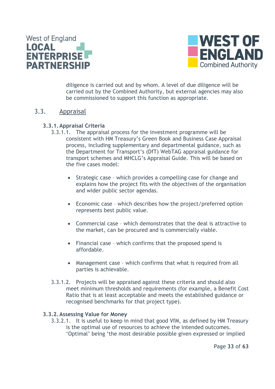



diligence is carried out and by whom. A level of due diligence will be carried out by the Combined Authority, but external agencies may also be commissioned to support this function as appropriate.

#### <span id="page-32-1"></span><span id="page-32-0"></span>3.3. Appraisal

#### **3.3.1.Appraisal Criteria**

- 3.3.1.1. The appraisal process for the investment programme will be consistent with HM Treasury's Green Book and Business Case Appraisal process, including supplementary and departmental guidance, such as the Department for Transport's (DfT) WebTAG appraisal guidance for transport schemes and MHCLG's Appraisal Guide. This will be based on the five cases model:
	- Strategic case which provides a compelling case for change and explains how the project fits with the objectives of the organisation and wider public sector agendas.
	- Economic case which describes how the project/preferred option represents best public value.
	- Commercial case which demonstrates that the deal is attractive to the market, can be procured and is commercially viable.
	- Financial case which confirms that the proposed spend is affordable.
	- Management case which confirms that what is required from all parties is achievable.
- 3.3.1.2. Projects will be appraised against these criteria and should also meet minimum thresholds and requirements (for example, a Benefit Cost Ratio that is at least acceptable and meets the established guidance or recognised benchmarks for that project type).

#### <span id="page-32-2"></span>**3.3.2.Assessing Value for Money**

3.3.2.1. It is useful to keep in mind that good VfM, as defined by HM Treasury is the optimal use of resources to achieve the intended outcomes. 'Optimal' being 'the most desirable possible given expressed or implied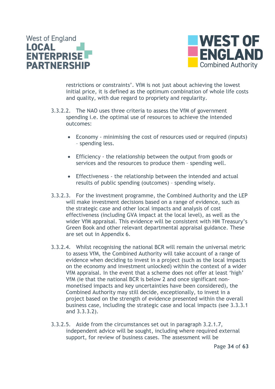



restrictions or constraints'. VfM is not just about achieving the lowest initial price, it is defined as the optimum combination of whole life costs and quality, with due regard to propriety and regularity.

- 3.3.2.2. The NAO uses three criteria to assess the VfM of government spending i.e. the optimal use of resources to achieve the intended outcomes:
	- Economy minimising the cost of resources used or required (inputs) – spending less.
	- Efficiency the relationship between the output from goods or services and the resources to produce them – spending well.
	- Effectiveness the relationship between the intended and actual results of public spending (outcomes) – spending wisely.
- 3.3.2.3. For the investment programme, the Combined Authority and the LEP will make investment decisions based on a range of evidence, such as the strategic case and other local impacts and analysis of cost effectiveness (including GVA impact at the local level), as well as the wider VfM appraisal. This evidence will be consistent with HM Treasury's Green Book and other relevant departmental appraisal guidance. These are set out in Appendix 6.
- 3.3.2.4. Whilst recognising the national BCR will remain the universal metric to assess VfM, the Combined Authority will take account of a range of evidence when deciding to invest in a project (such as the local impacts on the economy and investment unlocked) within the context of a wider VfM appraisal. In the event that a scheme does not offer at least 'high' VfM (ie that the national BCR is below 2 and once significant nonmonetised impacts and key uncertainties have been considered), the Combined Authority may still decide, exceptionally, to invest in a project based on the strength of evidence presented within the overall business case, including the strategic case and local impacts (see 3.3.3.1 and 3.3.3.2).
- 3.3.2.5. Aside from the circumstances set out in paragraph 3.2.1.7, independent advice will be sought, including where required external support, for review of business cases. The assessment will be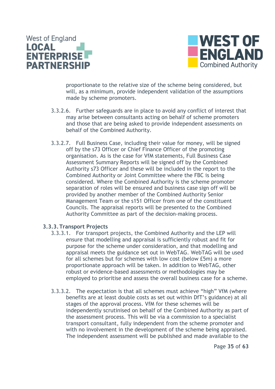



proportionate to the relative size of the scheme being considered, but will, as a minimum, provide independent validation of the assumptions made by scheme promoters.

- 3.3.2.6. Further safeguards are in place to avoid any conflict of interest that may arise between consultants acting on behalf of scheme promoters and those that are being asked to provide independent assessments on behalf of the Combined Authority.
- 3.3.2.7. Full Business Case, including their value for money, will be signed off by the s73 Officer or Chief Finance Officer of the promoting organisation. As is the case for VfM statements, Full Business Case Assessment Summary Reports will be signed off by the Combined Authority s73 Officer and these will be included in the report to the Combined Authority or Joint Committee where the FBC is being considered. Where the Combined Authority is the scheme promoter separation of roles will be ensured and business case sign off will be provided by another member of the Combined Authority Senior Management Team or the s151 Officer from one of the constituent Councils. The appraisal reports will be presented to the Combined Authority Committee as part of the decision-making process.

#### <span id="page-34-0"></span>**3.3.3.Transport Projects**

- 3.3.3.1. For transport projects, the Combined Authority and the LEP will ensure that modelling and appraisal is sufficiently robust and fit for purpose for the scheme under consideration, and that modelling and appraisal meets the guidance set out in WebTAG. WebTAG will be used for all schemes but for schemes with low cost (below £5m) a more proportionate approach will be taken. In addition to WebTAG, other robust or evidence-based assessments or methodologies may be employed to prioritise and assess the overall business case for a scheme.
- 3.3.3.2. The expectation is that all schemes must achieve "high" VfM (where benefits are at least double costs as set out within DfT's guidance) at all stages of the approval process. VfM for these schemes will be independently scrutinised on behalf of the Combined Authority as part of the assessment process. This will be via a commission to a specialist transport consultant, fully independent from the scheme promoter and with no involvement in the development of the scheme being appraised. The independent assessment will be published and made available to the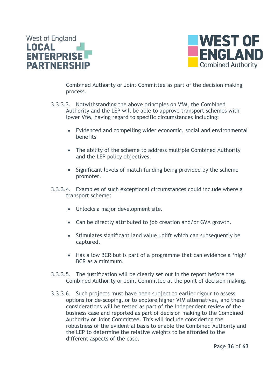



Combined Authority or Joint Committee as part of the decision making process.

- 3.3.3.3. Notwithstanding the above principles on VfM, the Combined Authority and the LEP will be able to approve transport schemes with lower VfM, having regard to specific circumstances including:
	- Evidenced and compelling wider economic, social and environmental benefits
	- The ability of the scheme to address multiple Combined Authority and the LEP policy objectives.
	- Significant levels of match funding being provided by the scheme promoter.
- 3.3.3.4. Examples of such exceptional circumstances could include where a transport scheme:
	- Unlocks a major development site.
	- Can be directly attributed to job creation and/or GVA growth.
	- Stimulates significant land value uplift which can subsequently be captured.
	- Has a low BCR but is part of a programme that can evidence a 'high' BCR as a minimum.
- 3.3.3.5. The justification will be clearly set out in the report before the Combined Authority or Joint Committee at the point of decision making.
- 3.3.3.6. Such projects must have been subject to earlier rigour to assess options for de-scoping, or to explore higher VfM alternatives, and these considerations will be tested as part of the independent review of the business case and reported as part of decision making to the Combined Authority or Joint Committee. This will include considering the robustness of the evidential basis to enable the Combined Authority and the LEP to determine the relative weights to be afforded to the different aspects of the case.

Page **36** of **63**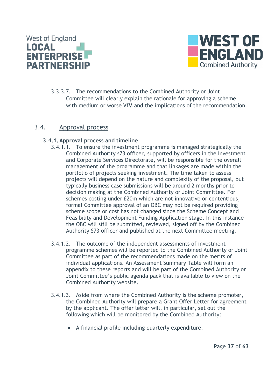



3.3.3.7. The recommendations to the Combined Authority or Joint Committee will clearly explain the rationale for approving a scheme with medium or worse VfM and the implications of the recommendation.

#### <span id="page-36-1"></span><span id="page-36-0"></span>3.4. Approval process

#### **3.4.1.Approval process and timeline**

- 3.4.1.1. To ensure the investment programme is managed strategically the Combined Authority s73 officer, supported by officers in the Investment and Corporate Services Directorate, will be responsible for the overall management of the programme and that linkages are made within the portfolio of projects seeking investment. The time taken to assess projects will depend on the nature and complexity of the proposal, but typically business case submissions will be around 2 months prior to decision making at the Combined Authority or Joint Committee. For schemes costing under £20m which are not innovative or contentious, formal Committee approval of an OBC may not be required providing scheme scope or cost has not changed since the Scheme Concept and Feasibility and Development Funding Application stage. In this instance the OBC will still be submitted, reviewed, signed off by the Combined Authority S73 officer and published at the next Committee meeting.
- 3.4.1.2. The outcome of the independent assessments of investment programme schemes will be reported to the Combined Authority or Joint Committee as part of the recommendations made on the merits of individual applications. An Assessment Summary Table will form an appendix to these reports and will be part of the Combined Authority or Joint Committee's public agenda pack that is available to view on the Combined Authority website.
- 3.4.1.3. Aside from where the Combined Authority is the scheme promoter, the Combined Authority will prepare a Grant Offer Letter for agreement by the applicant. The offer letter will, in particular, set out the following which will be monitored by the Combined Authority:
	- A financial profile including quarterly expenditure.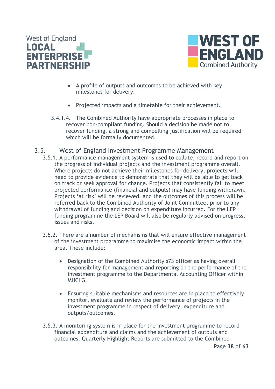



- A profile of outputs and outcomes to be achieved with key milestones for delivery.
- Projected impacts and a timetable for their achievement.
- 3.4.1.4. The Combined Authority have appropriate processes in place to recover non-compliant funding. Should a decision be made not to recover funding, a strong and compelling justification will be required which will be formally documented.

#### <span id="page-37-0"></span>3.5. West of England Investment Programme Management

- 3.5.1. A performance management system is used to collate, record and report on the progress of individual projects and the investment programme overall. Where projects do not achieve their milestones for delivery, projects will need to provide evidence to demonstrate that they will be able to get back on track or seek approval for change. Projects that consistently fail to meet projected performance (financial and outputs) may have funding withdrawn. Projects 'at risk' will be reviewed, and the outcomes of this process will be referred back to the Combined Authority of Joint Committee, prior to any withdrawal of funding and decision on expenditure incurred. For the LEP funding programme the LEP Board will also be regularly advised on progress, issues and risks.
- 3.5.2. There are a number of mechanisms that will ensure effective management of the investment programme to maximise the economic impact within the area. These include:
	- Designation of the Combined Authority s73 officer as having overall responsibility for management and reporting on the performance of the investment programme to the Departmental Accounting Officer within MHCL<sub>G</sub>.
	- Ensuring suitable mechanisms and resources are in place to effectively monitor, evaluate and review the performance of projects in the investment programme in respect of delivery, expenditure and outputs/outcomes.
- 3.5.3. A monitoring system is in place for the investment programme to record financial expenditure and claims and the achievement of outputs and outcomes. Quarterly Highlight Reports are submitted to the Combined

Page **38** of **63**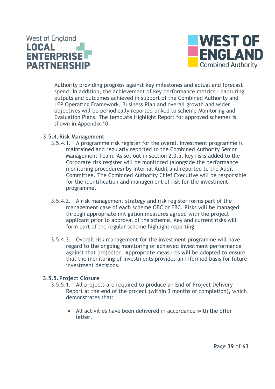



Authority providing progress against key milestones and actual and forecast spend. In addition, the achievement of key performance metrics – capturing outputs and outcomes achieved in support of the Combined Authority and LEP Operating Framework, Business Plan and overall growth and wider objectives will be periodically reported linked to scheme Monitoring and Evaluation Plans. The template Highlight Report for approved schemes is shown in Appendix 10.

#### <span id="page-38-0"></span>**3.5.4.Risk Management**

- 3.5.4.1. A programme risk register for the overall investment programme is maintained and regularly reported to the Combined Authority Senior Management Team. As set out in section 2.3.5, key risks added to the Corporate risk register will be monitored (alongside the performance monitoring procedures) by Internal Audit and reported to the Audit Committee. The Combined Authority Chief Executive will be responsible for the identification and management of risk for the investment programme.
- 3.5.4.2. A risk management strategy and risk register forms part of the management case of each scheme OBC or FBC. Risks will be managed through appropriate mitigation measures agreed with the project applicant prior to approval of the scheme. Key and current risks will form part of the regular scheme highlight reporting.
- 3.5.4.3. Overall risk management for the investment programme will have regard to the ongoing monitoring of achieved investment performance against that projected. Appropriate measures will be adopted to ensure that the monitoring of investments provides an informed basis for future investment decisions.

#### <span id="page-38-1"></span>**3.5.5.Project Closure**

- 3.5.5.1. All projects are required to produce an End of Project Delivery Report at the end of the project (within 3 months of completion), which demonstrates that:
	- All activities have been delivered in accordance with the offer letter.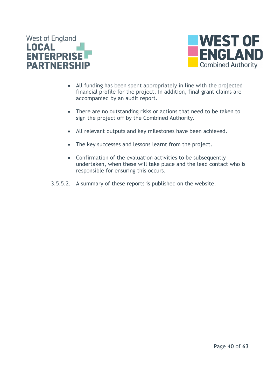



- All funding has been spent appropriately in line with the projected financial profile for the project. In addition, final grant claims are accompanied by an audit report.
- There are no outstanding risks or actions that need to be taken to sign the project off by the Combined Authority.
- All relevant outputs and key milestones have been achieved.
- The key successes and lessons learnt from the project.
- Confirmation of the evaluation activities to be subsequently undertaken, when these will take place and the lead contact who is responsible for ensuring this occurs.
- 3.5.5.2. A summary of these reports is published on the website.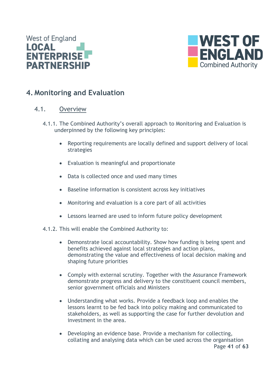



## <span id="page-40-0"></span>**4. Monitoring and Evaluation**

#### <span id="page-40-1"></span>4.1. Overview

- 4.1.1. The Combined Authority's overall approach to Monitoring and Evaluation is underpinned by the following key principles:
	- Reporting requirements are locally defined and support delivery of local strategies
	- Evaluation is meaningful and proportionate
	- Data is collected once and used many times
	- Baseline information is consistent across key initiatives
	- Monitoring and evaluation is a core part of all activities
	- Lessons learned are used to inform future policy development
- 4.1.2. This will enable the Combined Authority to:
	- Demonstrate local accountability. Show how funding is being spent and benefits achieved against local strategies and action plans, demonstrating the value and effectiveness of local decision making and shaping future priorities
	- Comply with external scrutiny. Together with the Assurance Framework demonstrate progress and delivery to the constituent council members, senior government officials and Ministers
	- Understanding what works. Provide a feedback loop and enables the lessons learnt to be fed back into policy making and communicated to stakeholders, as well as supporting the case for further devolution and investment in the area.
	- Page **41** of **63** • Developing an evidence base. Provide a mechanism for collecting, collating and analysing data which can be used across the organisation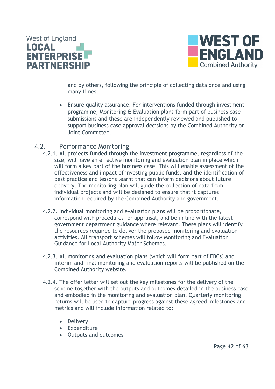



and by others, following the principle of collecting data once and using many times.

• Ensure quality assurance. For interventions funded through investment programme, Monitoring & Evaluation plans form part of business case submissions and these are independently reviewed and published to support business case approval decisions by the Combined Authority or Joint Committee.

#### <span id="page-41-0"></span>4.2. Performance Monitoring

- 4.2.1. All projects funded through the investment programme, regardless of the size, will have an effective monitoring and evaluation plan in place which will form a key part of the business case. This will enable assessment of the effectiveness and impact of investing public funds, and the identification of best practice and lessons learnt that can inform decisions about future delivery. The monitoring plan will guide the collection of data from individual projects and will be designed to ensure that it captures information required by the Combined Authority and government.
- 4.2.2. Individual monitoring and evaluation plans will be proportionate, correspond with procedures for appraisal, and be in line with the latest government department guidance where relevant. These plans will identify the resources required to deliver the proposed monitoring and evaluation activities. All transport schemes will follow Monitoring and Evaluation Guidance for Local Authority Major Schemes.
- 4.2.3. All monitoring and evaluation plans (which will form part of FBCs) and interim and final monitoring and evaluation reports will be published on the Combined Authority website.
- 4.2.4. The offer letter will set out the key milestones for the delivery of the scheme together with the outputs and outcomes detailed in the business case and embodied in the monitoring and evaluation plan. Quarterly monitoring returns will be used to capture progress against these agreed milestones and metrics and will include information related to:
	- Delivery
	- Expenditure
	- Outputs and outcomes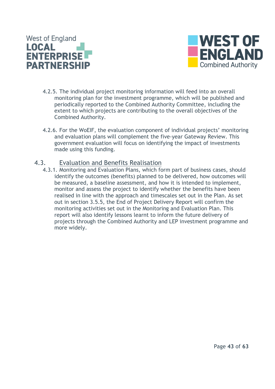



- 4.2.5. The individual project monitoring information will feed into an overall monitoring plan for the investment programme, which will be published and periodically reported to the Combined Authority Committee, including the extent to which projects are contributing to the overall objectives of the Combined Authority.
- 4.2.6. For the WoEIF, the evaluation component of individual projects' monitoring and evaluation plans will complement the five-year Gateway Review. This government evaluation will focus on identifying the impact of investments made using this funding.

#### <span id="page-42-0"></span>4.3. Evaluation and Benefits Realisation

4.3.1. Monitoring and Evaluation Plans, which form part of business cases, should identify the outcomes (benefits) planned to be delivered, how outcomes will be measured, a baseline assessment, and how it is intended to implement, monitor and assess the project to identify whether the benefits have been realised in line with the approach and timescales set out in the Plan. As set out in section 3.5.5, the End of Project Delivery Report will confirm the monitoring activities set out in the Monitoring and Evaluation Plan. This report will also identify lessons learnt to inform the future delivery of projects through the Combined Authority and LEP investment programme and more widely.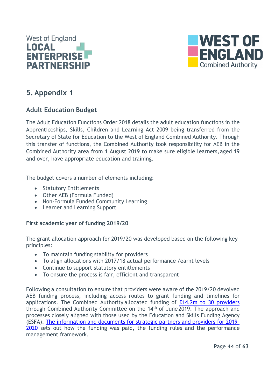



## <span id="page-43-0"></span>**5. Appendix 1**

### <span id="page-43-1"></span>**Adult Education Budget**

The Adult Education Functions Order 2018 details the adult education functions in the Apprenticeships, Skills, Children and Learning Act 2009 being transferred from the Secretary of State for Education to the West of England Combined Authority. Through this transfer of functions, the Combined Authority took responsibility for AEB in the Combined Authority area from 1 August 2019 to make sure eligible learners,aged 19 and over, have appropriate education and training.

The budget covers a number of elements including:

- Statutory Entitlements
- Other AEB (Formula Funded)
- Non-Formula Funded Community Learning
- Learner and Learning Support

#### **First academic year of funding 2019/20**

The grant allocation approach for 2019/20 was developed based on the following key principles:

- To maintain funding stability for providers
- To align allocations with 2017/18 actual performance /earnt levels
- Continue to support statutory entitlements
- To ensure the process is fair, efficient and transparent

Following a consultation to ensure that providers were aware of the 2019/20 devolved AEB funding process, including access routes to grant funding and timelines for applications. The Combined Authority allocated funding of [£14.2m to 30 providers](https://www.westofengland-ca.gov.uk/wp-content/uploads/2020/06/Provider-allocations-2019-20.pdf) through Combined Authority Committee on the 14th of June2019. The approach and processes closely aligned with those used by the Education and Skills Funding Agency (ESFA). [The information and documents for strategic partners and providers for 2019-](https://www.westofengland-ca.gov.uk/information-and-documents-for-strategic-partners-and-providers/) [2020](https://www.westofengland-ca.gov.uk/information-and-documents-for-strategic-partners-and-providers/) sets out how the funding was paid, the funding rules and the performance management framework.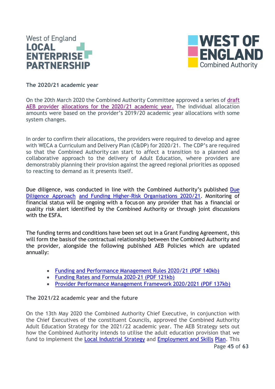



**The 2020/21 academic year**

On the 20th March 2020 the Combined Authority Committee approved a series of [draft](https://www.westofengland-ca.gov.uk/wp-content/uploads/2021/09/16b-AEB-report.pdf)  [AEB provider](https://www.westofengland-ca.gov.uk/wp-content/uploads/2021/09/16b-AEB-report.pdf) [allocations](https://www.westofengland-ca.gov.uk/wp-content/uploads/2021/09/16b-AEB-report.pdf) for the 2020/21 academic year. The individual allocation amounts were based on the provider's 2019/20 academic year allocations with some system changes.

In order to confirm their allocations, the providers were required to develop and agree with WECA a Curriculum and Delivery Plan (C&DP) for 2020/21. The CDP's are required so that the Combined Authority can start to affect a transition to a planned and collaborative approach to the delivery of Adult Education, where providers are demonstrably planning their provision against the agreed regional priorities as opposed to reacting to demand as it presents itself.

Due diligence, was conducted in line with the Combined Authority's published Due [Diligence Approach](https://www.westofengland-ca.gov.uk/wp-content/uploads/2020/07/WECA-Adult-Education-Due-Diligence-Approach-2020-21-1.pdf) and Funding Higher-Risk [Organisations](https://www.westofengland-ca.gov.uk/wp-content/uploads/2020/07/WECA-Adult-Education-Due-Diligence-Approach-2020-21-1.pdf) 2020/21. Monitoring of financial status will be ongoing with a focus on any provider that has a financial or quality risk alert identified by the Combined Authority or through joint discussions with the ESFA.

The funding terms and conditions have been set out in a Grant Funding Agreement, this will form the basisof the contractual relationship between the Combined Authority and the provider, alongside the following published AEB Policies which are updated annually:

- Funding and Performance Management Rules [2020/21 \(PDF](https://www.westofengland-ca.gov.uk/wp-content/uploads/2020/07/WECA-Adult-Education-Funding-Performance-Management-Funding-Rules-2020-21.pdf) 140kb)
- Funding Rates and [Formula](https://www.westofengland-ca.gov.uk/wp-content/uploads/2020/07/WECA-Adult-Education-Funding-Rates-and-Formula-2020-21.pdf) 2020-21 (PDF 121kb)
- Provider [Performance](https://www.westofengland-ca.gov.uk/wp-content/uploads/2021/01/WECA-Adult-Education-Provider-Performance-Management-Framework-2020-21.pdf) Management Framework 2020/2021 (PDF 137kb)

#### **The 2021/22 academic year and the future**

On the 13th May 2020 the Combined Authority Chief Executive, in conjunction with the Chief Executives of the constituent Councils, approved the Combined Authority Adult Education Strategy for the 2021/22 academic year. The AEB Strategy sets out how the Combined Authority intends to utilise the adult education provision that we fund to implement the [Local Industrial Strategy](https://www.gov.uk/government/publications/west-of-england-local-industrial-strategy) and [Employment and Skills](https://www.westofengland-ca.gov.uk/employment-skills-plan/) [Plan.](https://www.westofengland-ca.gov.uk/employment-skills-plan/) This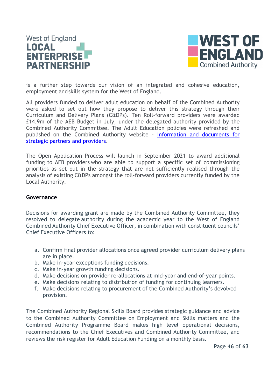## **West of England LOCAL ENTERPRISE PARTNERSHIP**



is a further step towards our vision of an integrated and cohesive education, employment andskills system for the West of England.

All providers funded to deliver adult education on behalf of the Combined Authority were asked to set out how they propose to deliver this strategy through their Curriculum and Delivery Plans (C&DPs). Ten Roll-forward providers were awarded £14.9m of the AEB Budget in July, under the delegated authority provided by the Combined Authority Committee. The Adult Education policies were refreshed and published on the Combined Authority website - [Information and documents for](https://www.westofengland-ca.gov.uk/information-and-documents-for-strategic-partners-and-providers/)  [strategic partners and](https://www.westofengland-ca.gov.uk/information-and-documents-for-strategic-partners-and-providers/) [providers.](https://www.westofengland-ca.gov.uk/information-and-documents-for-strategic-partners-and-providers/)

The Open Application Process will launch in September 2021 to award additional funding to AEB providers who are able to support a specific set of commissioning priorities as set out in the strategy that are not sufficiently realised through the analysis of existing C&DPs amongst the roll-forward providers currently funded by the Local Authority.

#### **Governance**

Decisions for awarding grant are made by the Combined Authority Committee, they resolved to delegate authority during the academic year to the West of England Combined Authority Chief Executive Officer, in combination with constituent councils' Chief Executive Officers to:

- a. Confirm final provider allocations once agreed provider curriculum delivery plans are in place.
- b. Make in-year exceptions funding decisions.
- c. Make in-year growth funding decisions.
- d. Make decisions on provider re-allocations at mid-year and end-of-year points.
- e. Make decisions relating to distribution of funding for continuing learners.
- f. Make decisions relating to procurement of the Combined Authority's devolved provision.

The Combined Authority Regional Skills Board provides strategic guidance and advice to the Combined Authority Committee on Employment and Skills matters and the Combined Authority Programme Board makes high level operational decisions, recommendations to the Chief Executives and Combined Authority Committee, and reviews the risk register for Adult Education Funding on a monthly basis.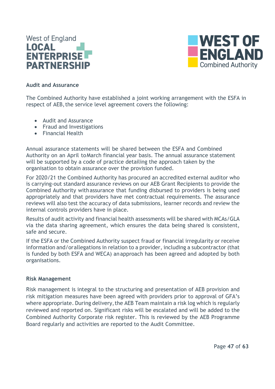



#### **Audit and Assurance**

The Combined Authority have established a joint working arrangement with the ESFA in respect of AEB, the service level agreement covers the following:

- Audit and Assurance
- Fraud and Investigations
- Financial Health

Annual assurance statements will be shared between the ESFA and Combined Authority on an April toMarch financial year basis. The annual assurance statement will be supported by a code of practice detailing the approach taken by the organisation to obtain assurance over the provision funded.

For 2020/21 the Combined Authority has procured an accredited external auditor who is carrying-out standard assurance reviews on our AEB Grant Recipients to provide the Combined Authority withassurance that funding disbursed to providers is being used appropriately and that providers have met contractual requirements. The assurance reviews will also test the accuracy of data submissions, learner records and review the internal controls providers have in place.

Results of audit activity and financial health assessments will be shared with MCAs/GLA via the data sharing agreement, which ensures the data being shared is consistent, safe and secure.

If the ESFA or the Combined Authority suspect fraud or financial irregularity or receive information and/orallegations in relation to a provider, including a subcontractor (that is funded by both ESFA and WECA) anapproach has been agreed and adopted by both organisations.

#### **Risk Management**

Risk management is integral to the structuring and presentation of AEB provision and risk mitigation measures have been agreed with providers prior to approval of GFA's where appropriate. During delivery, the AEB Team maintain a risk log which is regularly reviewed and reported on. Significant risks will be escalated and will be added to the Combined Authority Corporate risk register. This is reviewed by the AEB Programme Board regularly and activities are reported to the Audit Committee.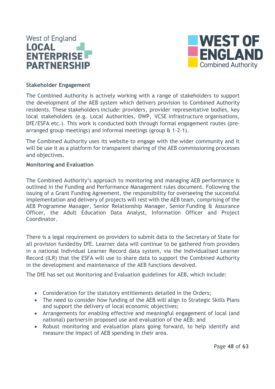



#### **Stakeholder Engagement**

The Combined Authority is actively working with a range of stakeholders to support the development of the AEB system which delivers provision to Combined Authority residents. These stakeholders include: providers, provider representative bodies, key local stakeholders (e.g. Local Authorities, DWP, VCSE infrastructure organisations, DfE/ESFA etc.). This work is conducted both through formal engagement routes (prearranged group meetings) and informal meetings (group & 1-2-1).

The Combined Authority uses its website to engage with the wider community and it will be use it as a platform for transparent sharing of the AEB commissioning processes and objectives.

#### **Monitoring and Evaluation**

The Combined Authority's approach to monitoring and managing AEB performance is outlined in the Funding and Performance Management rules document. Following the issuing of a Grant Funding Agreement, the responsibility for overseeing the successful implementation and delivery of projects will rest with the AEB team, comprising of the AEB Programme Manager, Senior Relationship Manager, Senior Funding & Assurance Officer, the Adult Education Data Analyst, Information Officer and Project Coordinator.

There is a legal requirement on providers to submit data to the Secretary of State for all provision fundedby DfE. Learner data will continue to be gathered from providers in a national Individual Learner Record data system, via the Individualised Learner Record (ILR) that the ESFA will use to share data to support the Combined Authority in the development and maintenance of the AEB functions devolved.

The DfE has set out Monitoring and Evaluation guidelines for AEB, which include:

- Consideration for the statutory entitlements detailed in the Orders;
- The need to consider how funding of the AEB will align to Strategic Skills Plans and support the delivery of local economic objectives;
- Arrangements for enabling effective and meaningful engagement of local (and national) partnersin proposed use and evaluation of the AEB; and
- Robust monitoring and evaluation plans going forward, to help identify and measure the impact of AEB spending in their area.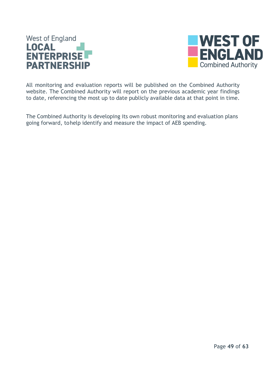



All monitoring and evaluation reports will be published on the Combined Authority website. The Combined Authority will report on the previous academic year findings to date, referencing the most up to date publicly available data at that point in time.

The Combined Authority is developing its own robust monitoring and evaluation plans going forward, tohelp identify and measure the impact of AEB spending.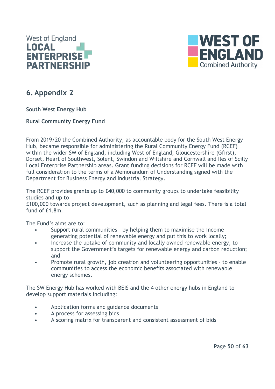



## <span id="page-49-0"></span>**6. Appendix 2**

<span id="page-49-1"></span>**South West Energy Hub**

<span id="page-49-2"></span>**Rural Community Energy Fund**

From 2019/20 the Combined Authority, as accountable body for the South West Energy Hub, became responsible for administering the Rural Community Energy Fund (RCEF) within the wider SW of England, including West of England, Gloucestershire (Gfirst), Dorset, Heart of Southwest, Solent, Swindon and Wiltshire and Cornwall and Iles of Scilly Local Enterprise Partnership areas. Grant funding decisions for RCEF will be made with full consideration to the terms of a Memorandum of Understanding signed with the Department for Business Energy and Industrial Strategy.

The RCEF provides grants up to £40,000 to community groups to undertake feasibility studies and up to

£100,000 towards project development, such as planning and legal fees. There is a total fund of £1.8m.

The Fund's aims are to:

- Support rural communities by helping them to maximise the income generating potential of renewable energy and put this to work locally;
- Increase the uptake of community and locally owned renewable energy, to support the Government's targets for renewable energy and carbon reduction; and
- Promote rural growth, job creation and volunteering opportunities to enable communities to access the economic benefits associated with renewable energy schemes.

The SW Energy Hub has worked with BEIS and the 4 other energy hubs in England to develop support materials including:

- Application forms and guidance documents
- A process for assessing bids
- A scoring matrix for transparent and consistent assessment of bids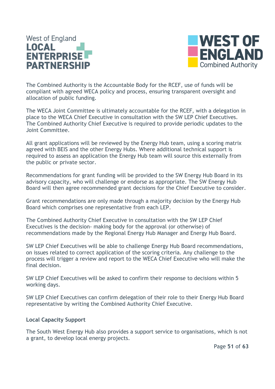## **West of England** LOCAL **ENTERPRISE PARTNERSHIP**



The Combined Authority is the Accountable Body for the RCEF, use of funds will be compliant with agreed WECA policy and process, ensuring transparent oversight and allocation of public funding.

The WECA Joint Committee is ultimately accountable for the RCEF, with a delegation in place to the WECA Chief Executive in consultation with the SW LEP Chief Executives. The Combined Authority Chief Executive is required to provide periodic updates to the Joint Committee.

All grant applications will be reviewed by the Energy Hub team, using a scoring matrix agreed with BEIS and the other Energy Hubs. Where additional technical support is required to assess an application the Energy Hub team will source this externally from the public or private sector.

Recommendations for grant funding will be provided to the SW Energy Hub Board in its advisory capacity, who will challenge or endorse as appropriate. The SW Energy Hub Board will then agree recommended grant decisions for the Chief Executive to consider.

Grant recommendations are only made through a majority decision by the Energy Hub Board which comprises one representative from each LEP.

The Combined Authority Chief Executive in consultation with the SW LEP Chief Executives is the decision- making body for the approval (or otherwise) of recommendations made by the Regional Energy Hub Manager and Energy Hub Board.

SW LEP Chief Executives will be able to challenge Energy Hub Board recommendations, on issues related to correct application of the scoring criteria. Any challenge to the process will trigger a review and report to the WECA Chief Executive who will make the final decision.

SW LEP Chief Executives will be asked to confirm their response to decisions within 5 working days.

SW LEP Chief Executives can confirm delegation of their role to their Energy Hub Board representative by writing the Combined Authority Chief Executive.

#### <span id="page-50-0"></span>**Local Capacity Support**

The South West Energy Hub also provides a support service to organisations, which is not a grant, to develop local energy projects.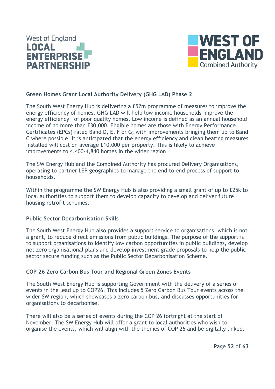



#### <span id="page-51-0"></span>**Green Homes Grant Local Authority Delivery (GHG LAD) Phase 2**

The South West Energy Hub is delivering a £52m programme of measures to improve the energy efficiency of homes. GHG LAD will help low income households improve the energy efficiency of poor quality homes. Low income is defined as an annual household income of no more than £30,000. Eligible homes are those with Energy Performance Certificates (EPCs) rated Band D, E, F or G; with improvements bringing them up to Band C where possible. It is anticipated that the energy efficiency and clean heating measures installed will cost on average £10,000 per property. This is likely to achieve improvements to 4,400-4,840 homes in the wider region

The SW Energy Hub and the Combined Authority has procured Delivery Organisations, operating to partner LEP geographies to manage the end to end process of support to households.

Within the programme the SW Energy Hub is also providing a small grant of up to £25k to local authorities to support them to develop capacity to develop and deliver future housing retrofit schemes.

#### <span id="page-51-1"></span>**Public Sector Decarbonisation Skills**

The South West Energy Hub also provides a support service to organisations, which is not a grant, to reduce direct emissions from public buildings. The purpose of the support is to support organisations to identify low carbon opportunities in public buildings, develop net zero organisational plans and develop investment grade proposals to help the public sector secure funding such as the Public Sector Decarbonisation Scheme.

#### <span id="page-51-2"></span>**COP 26 Zero Carbon Bus Tour and Regional Green Zones Events**

The South West Energy Hub is supporting Government with the delivery of a series of events in the lead up to COP26. This includes 5 Zero Carbon Bus Tour events across the wider SW region, which showcases a zero carbon bus, and discusses opportunities for organisations to decarbonise.

There will also be a series of events during the COP 26 fortnight at the start of November. The SW Energy Hub will offer a grant to local authorities who wish to organise the events, which will align with the themes of COP 26 and be digitally linked.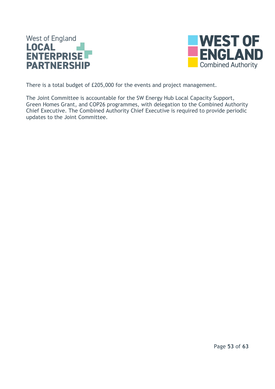



There is a total budget of £205,000 for the events and project management.

The Joint Committee is accountable for the SW Energy Hub Local Capacity Support, Green Homes Grant, and COP26 programmes, with delegation to the Combined Authority Chief Executive. The Combined Authority Chief Executive is required to provide periodic updates to the Joint Committee.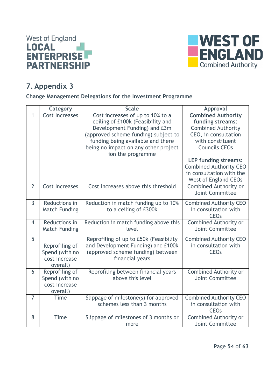



## <span id="page-53-0"></span>**7. Appendix 3**

#### <span id="page-53-1"></span>**Change Management Delegations for the Investment Programme**

|                | Category                                                      | <b>Scale</b>                                                                                                                                                                                                                                    | Approval                                                                                                                                                                                                                                                                  |
|----------------|---------------------------------------------------------------|-------------------------------------------------------------------------------------------------------------------------------------------------------------------------------------------------------------------------------------------------|---------------------------------------------------------------------------------------------------------------------------------------------------------------------------------------------------------------------------------------------------------------------------|
| $\mathbf{1}$   | <b>Cost Increases</b>                                         | Cost increases of up to 10% to a<br>ceiling of £100k (Feasibility and<br>Development Funding) and £3m<br>(approved scheme funding) subject to<br>funding being available and there<br>being no impact on any other project<br>ion the programme | <b>Combined Authority</b><br>funding streams:<br><b>Combined Authority</b><br>CEO, in consultation<br>with constituent<br><b>Councils CEOs</b><br><b>LEP funding streams:</b><br><b>Combined Authority CEO</b><br>in consultation with the<br><b>West of England CEOs</b> |
| $\overline{2}$ | <b>Cost Increases</b>                                         | Cost increases above this threshold                                                                                                                                                                                                             | <b>Combined Authority or</b><br>Joint Committee                                                                                                                                                                                                                           |
| $\overline{3}$ | Reductions in<br><b>Match Funding</b>                         | Reduction in match funding up to 10%<br>to a ceiling of £300k                                                                                                                                                                                   | <b>Combined Authority CEO</b><br>in consultation with<br><b>CEO<sub>s</sub></b>                                                                                                                                                                                           |
| $\overline{4}$ | Reductions in<br><b>Match Funding</b>                         | Reduction in match funding above this<br>level                                                                                                                                                                                                  | <b>Combined Authority or</b><br>Joint Committee                                                                                                                                                                                                                           |
| 5              | Reprofiling of<br>Spend (with no<br>cost increase<br>overall) | Reprofiling of up to £50k (Feasibility<br>and Development Funding) and £100k<br>(approved scheme funding) between<br>financial years                                                                                                            | <b>Combined Authority CEO</b><br>in consultation with<br><b>CEO<sub>s</sub></b>                                                                                                                                                                                           |
| 6              | Reprofiling of<br>Spend (with no<br>cost increase<br>overall) | Reprofiling between financial years<br>above this level                                                                                                                                                                                         | <b>Combined Authority or</b><br>Joint Committee                                                                                                                                                                                                                           |
| $\overline{7}$ | <b>Time</b>                                                   | Slippage of milestone(s) for approved<br>schemes less than 3 months                                                                                                                                                                             | <b>Combined Authority CEO</b><br>in consultation with<br><b>CEO<sub>s</sub></b>                                                                                                                                                                                           |
| 8              | <b>Time</b>                                                   | Slippage of milestones of 3 months or<br>more                                                                                                                                                                                                   | <b>Combined Authority or</b><br>Joint Committee                                                                                                                                                                                                                           |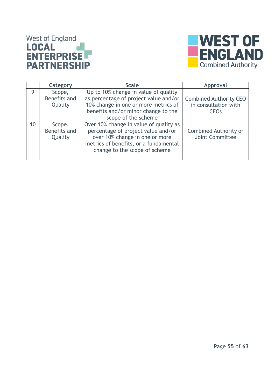# West of England<br> **LOCAL**<br> **ENTERPRISE PARTNERSHIP**



|    | Category                          | <b>Scale</b>                                                                                                                                                                             | <b>Approval</b>                                                                 |
|----|-----------------------------------|------------------------------------------------------------------------------------------------------------------------------------------------------------------------------------------|---------------------------------------------------------------------------------|
| 9  | Scope,<br>Benefits and<br>Quality | Up to 10% change in value of quality<br>as percentage of project value and/or<br>10% change in one or more metrics of<br>benefits and/or minor change to the<br>scope of the scheme      | <b>Combined Authority CEO</b><br>in consultation with<br><b>CEO<sub>s</sub></b> |
| 10 | Scope,<br>Benefits and<br>Quality | Over 10% change in value of quality as<br>percentage of project value and/or<br>over 10% change in one or more<br>metrics of benefits, or a fundamental<br>change to the scope of scheme | <b>Combined Authority or</b><br>Joint Committee                                 |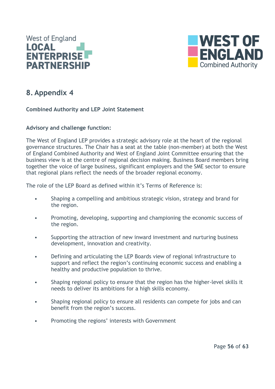



## <span id="page-55-0"></span>**8. Appendix 4**

#### <span id="page-55-1"></span>**Combined Authority and LEP Joint Statement**

#### **Advisory and challenge function:**

The West of England LEP provides a strategic advisory role at the heart of the regional governance structures. The Chair has a seat at the table (non-member) at both the West of England Combined Authority and West of England Joint Committee ensuring that the business view is at the centre of regional decision making. Business Board members bring together the voice of large business, significant employers and the SME sector to ensure that regional plans reflect the needs of the broader regional economy.

The role of the LEP Board as defined within it's Terms of Reference is:

- Shaping a compelling and ambitious strategic vision, strategy and brand for the region.
- Promoting, developing, supporting and championing the economic success of the region.
- Supporting the attraction of new inward investment and nurturing business development, innovation and creativity.
- Defining and articulating the LEP Boards view of regional infrastructure to support and reflect the region's continuing economic success and enabling a healthy and productive population to thrive.
- Shaping regional policy to ensure that the region has the higher-level skills it needs to deliver its ambitions for a high skills economy.
- Shaping regional policy to ensure all residents can compete for jobs and can benefit from the region's success.
- Promoting the regions' interests with Government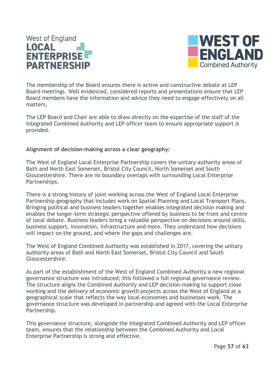## **West of England** LOCAL **ENTERPRISE PARTNERSHIP**



The membership of the Board ensures there is active and constructive debate at LEP Board meetings. Well evidenced, considered reports and presentations ensure that LEP Board members have the information and advice they need to engage effectively on all matters.

The LEP Board and Chair are able to draw directly on the expertise of the staff of the integrated Combined Authority and LEP officer team to ensure appropriate support is provided.

#### **Alignment of decision-making across a clear geography:**

The West of England Local Enterprise Partnership covers the unitary authority areas of Bath and North East Somerset, Bristol City Council, North Somerset and South Gloucestershire. There are no boundary overlaps with surrounding Local Enterprise Partnerships.

There is a strong history of joint working across the West of England Local Enterprise Partnership geography that includes work on Spatial Planning and Local Transport Plans. Bringing political and business leaders together enables integrated decision making and enables the longer-term strategic perspective offered by business to be front and centre of local debate. Business leaders bring a valuable perspective on decisions around skills, business support, innovation, infrastructure and more. They understand how decisions will impact on the ground, and where the gaps and challenges are.

The West of England Combined Authority was established in 2017, covering the unitary authority areas of Bath and North East Somerset, Bristol City Council and South Gloucestershire.

As part of the establishment of the West of England Combined Authority a new regional governance structure was introduced; this followed a full regional governance review. The structure aligns the Combined Authority and LEP decision-making to support close working and the delivery of economic growth projects across the West of England at a geographical scale that reflects the way local economies and businesses work. The governance structure was developed in partnership and agreed with the Local Enterprise Partnership.

This governance structure, alongside the integrated Combined Authority and LEP officer team, ensures that the relationship between the Combined Authority and Local Enterprise Partnership is strong and effective.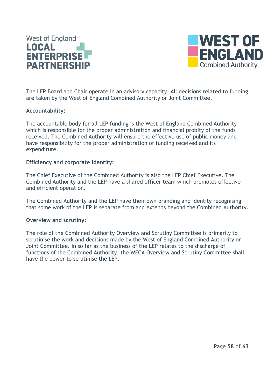



The LEP Board and Chair operate in an advisory capacity. All decisions related to funding are taken by the West of England Combined Authority or Joint Committee.

#### **Accountability:**

The accountable body for all LEP funding is the West of England Combined Authority which is responsible for the proper administration and financial probity of the funds received. The Combined Authority will ensure the effective use of public money and have responsibility for the proper administration of funding received and its expenditure.

#### **Efficiency and corporate identity:**

The Chief Executive of the Combined Authority is also the LEP Chief Executive. The Combined Authority and the LEP have a shared officer team which promotes effective and efficient operation.

The Combined Authority and the LEP have their own branding and identity recognising that some work of the LEP is separate from and extends beyond the Combined Authority.

#### **Overview and scrutiny:**

The role of the Combined Authority Overview and Scrutiny Committee is primarily to scrutinise the work and decisions made by the West of England Combined Authority or Joint Committee. In so far as the business of the LEP relates to the discharge of functions of the Combined Authority, the WECA Overview and Scrutiny Committee shall have the power to scrutinise the LEP.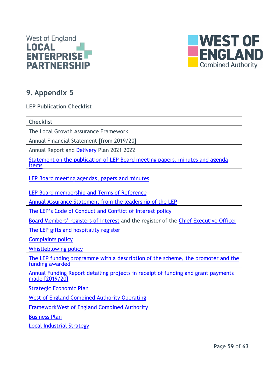



## <span id="page-58-0"></span>**9. Appendix 5**

#### <span id="page-58-1"></span>**LEP Publication Checklist**

| <b>Checklist</b>                                                                                    |
|-----------------------------------------------------------------------------------------------------|
| The Local Growth Assurance Framework                                                                |
| Annual Financial Statement [from 2019/20]                                                           |
| Annual Report and Delivery Plan 2021 2022                                                           |
| Statement on the publication of LEP Board meeting papers, minutes and agenda<br>items               |
| LEP Board meeting agendas, papers and minutes                                                       |
| LEP Board membership and Terms of Reference                                                         |
| Annual Assurance Statement from the leadership of the LEP                                           |
| The LEP's Code of Conduct and Conflict of Interest policy                                           |
| Board Members' registers of interest and the register of the Chief Executive Officer                |
| The LEP gifts and hospitality register                                                              |
| <b>Complaints policy</b>                                                                            |
| <b>Whistleblowing policy</b>                                                                        |
| The LEP funding programme with a description of the scheme, the promoter and the<br>funding awarded |
| Annual Funding Report detailing projects in receipt of funding and grant payments<br>made [2019/20] |
| <b>Strategic Economic Plan</b>                                                                      |
| <b>West of England Combined Authority Operating</b>                                                 |
| <b>Framework West of England Combined Authority</b>                                                 |
| <b>Business Plan</b>                                                                                |
| <b>Local Industrial Strategy</b>                                                                    |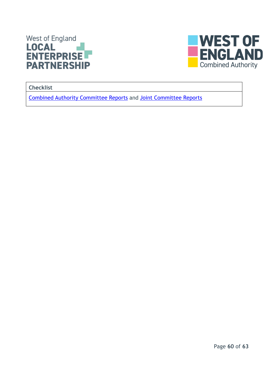



**Checklist**

Combined [Authority Committee Reports](https://westofengland-ca.moderngov.co.uk/ieListMeetings.aspx?CId=141&Year=0) and Joint [Committee](https://westofengland-ca.moderngov.co.uk/ieListMeetings.aspx?CId=142&Year=0) Reports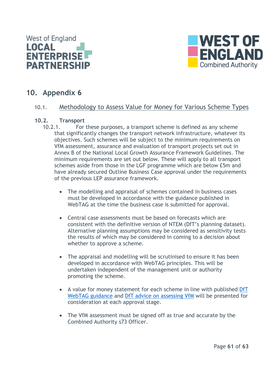



## <span id="page-60-0"></span>**10. Appendix 6**

#### <span id="page-60-1"></span>10.1. Methodology to Assess Value for Money for Various Scheme Types

## <span id="page-60-2"></span>**10.2. Transport**

- For these purposes, a transport scheme is defined as any scheme that significantly changes the transport network infrastructure, whatever its objectives. Such schemes will be subject to the minimum requirements on VfM assessment, assurance and evaluation of transport projects set out in Annex B of the National Local Growth Assurance Framework Guidelines. The minimum requirements are set out below. These will apply to all transport schemes aside from those in the LGF programme which are below £5m and have already secured Outline Business Case approval under the requirements of the previous LEP assurance framework.
	- The modelling and appraisal of schemes contained in business cases must be developed in accordance with the guidance published in WebTAG at the time the business case is submitted for approval.
	- Central case assessments must be based on forecasts which are consistent with the definitive version of NTEM (DfT's planning dataset). Alternative planning assumptions may be considered as sensitivity tests the results of which may be considered in coming to a decision about whether to approve a scheme.
	- The appraisal and modelling will be scrutinised to ensure it has been developed in accordance with WebTAG principles. This will be undertaken independent of the management unit or authority promoting the scheme.
	- A value for money statement for each scheme in line with published DfT [WebTAG guidance](https://www.gov.uk/guidance/transport-analysis-guidance-tag) and [DfT advice on assessing VfM](https://assets.publishing.service.gov.uk/government/uploads/system/uploads/attachment_data/file/918479/value-for-money-framework.pdf) will be presented for consideration at each approval stage.
	- The VfM assessment must be signed off as true and accurate by the Combined Authority s73 Officer.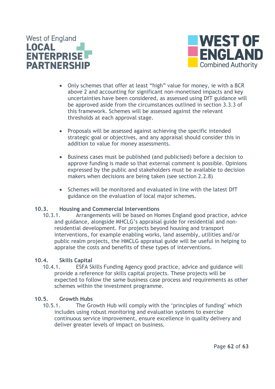



- Only schemes that offer at least "high" value for money, ie with a BCR above 2 and accounting for significant non-monetised impacts and key uncertainties have been considered, as assessed using DfT guidance will be approved aside from the circumstances outlined in section 3.3.3 of this framework. Schemes will be assessed against the relevant thresholds at each approval stage.
- Proposals will be assessed against achieving the specific intended strategic goal or objectives, and any appraisal should consider this in addition to value for money assessments.
- Business cases must be published (and publicised) before a decision to approve funding is made so that external comment is possible. Opinions expressed by the public and stakeholders must be available to decision makers when decisions are being taken (see section 2.2.8)
- Schemes will be monitored and evaluated in line with the latest DfT guidance on the evaluation of local major schemes.

#### <span id="page-61-0"></span>**10.3. Housing and Commercial Interventions**

10.3.1. Arrangements will be based on Homes England good practice, advice and guidance, alongside MHCLG's appraisal guide for residential and nonresidential development. For projects beyond housing and transport interventions, for example enabling works, land assembly, utilities and/or public realm projects, the HMCLG appraisal guide will be useful in helping to appraise the costs and benefits of these types of interventions.

#### <span id="page-61-1"></span>**10.4. Skills Capital**

10.4.1. ESFA Skills Funding Agency good practice, advice and guidance will provide a reference for skills capital projects. These projects will be expected to follow the same business case process and requirements as other schemes within the investment programme.

#### <span id="page-61-2"></span>**10.5. Growth Hubs**

10.5.1. The Growth Hub will comply with the 'principles of funding' which includes using robust monitoring and evaluation systems to exercise continuous service improvement, ensure excellence in quality delivery and deliver greater levels of impact on business.